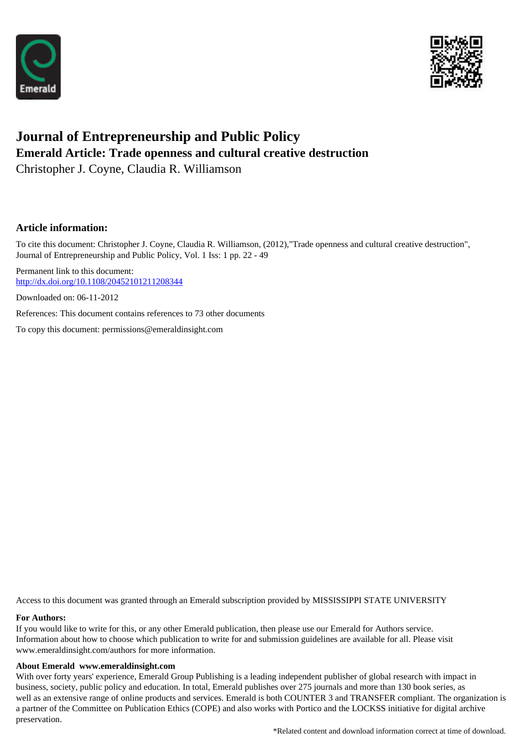



# **Journal of Entrepreneurship and Public Policy Emerald Article: Trade openness and cultural creative destruction**

Christopher J. Coyne, Claudia R. Williamson

# **Article information:**

To cite this document: Christopher J. Coyne, Claudia R. Williamson, (2012),"Trade openness and cultural creative destruction", Journal of Entrepreneurship and Public Policy, Vol. 1 Iss: 1 pp. 22 - 49

Permanent link to this document: http://dx.doi.org/10.1108/20452101211208344

Downloaded on: 06-11-2012

References: This document contains references to 73 other documents

To copy this document: permissions@emeraldinsight.com

Access to this document was granted through an Emerald subscription provided by MISSISSIPPI STATE UNIVERSITY

# **For Authors:**

If you would like to write for this, or any other Emerald publication, then please use our Emerald for Authors service. Information about how to choose which publication to write for and submission guidelines are available for all. Please visit www.emeraldinsight.com/authors for more information.

# **About Emerald www.emeraldinsight.com**

With over forty years' experience, Emerald Group Publishing is a leading independent publisher of global research with impact in business, society, public policy and education. In total, Emerald publishes over 275 journals and more than 130 book series, as well as an extensive range of online products and services. Emerald is both COUNTER 3 and TRANSFER compliant. The organization is a partner of the Committee on Publication Ethics (COPE) and also works with Portico and the LOCKSS initiative for digital archive preservation.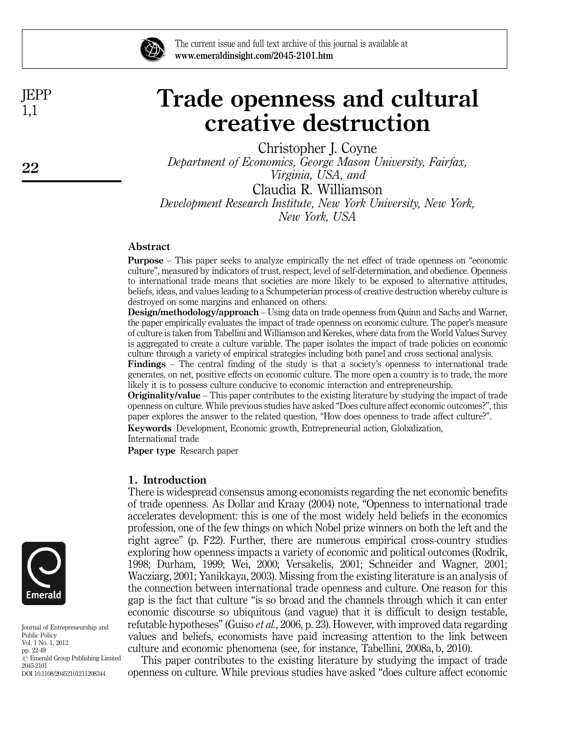

The current issue and full text archive of this journal is available at www.emeraldinsight.com/2045-2101.htm

# Trade openness and cultural creative destruction

Christopher J. Coyne Department of Economics, George Mason University, Fairfax, Virginia, USA, and Claudia R. Williamson Development Research Institute, New York University, New York, New York, USA

#### Abstract

Purpose – This paper seeks to analyze empirically the net effect of trade openness on "economic culture", measured by indicators of trust, respect, level of self-determination, and obedience. Openness to international trade means that societies are more likely to be exposed to alternative attitudes, beliefs, ideas, and values leading to a Schumpeterian process of creative destruction whereby culture is destroyed on some margins and enhanced on others.

Design/methodology/approach – Using data on trade openness from Quinn and Sachs and Warner, the paper empirically evaluates the impact of trade openness on economic culture. The paper's measure of culture is taken from Tabellini and Williamson and Kerekes, where data from the World Values Survey is aggregated to create a culture variable. The paper isolates the impact of trade policies on economic culture through a variety of empirical strategies including both panel and cross sectional analysis.

Findings – The central finding of the study is that a society's openness to international trade generates, on net, positive effects on economic culture. The more open a country is to trade, the more likely it is to possess culture conducive to economic interaction and entrepreneurship.

**Originality/value** – This paper contributes to the existing literature by studying the impact of trade openness on culture. While previous studies have asked "Does culture affect economic outcomes?", this paper explores the answer to the related question, "How does openness to trade affect culture?". Keywords Development, Economic growth, Entrepreneurial action, Globalization,

International trade

Paper type Research paper

#### 1. Introduction

There is widespread consensus among economists regarding the net economic benefits of trade openness. As Dollar and Kraay (2004) note, "Openness to international trade accelerates development: this is one of the most widely held beliefs in the economics profession, one of the few things on which Nobel prize winners on both the left and the right agree" (p. F22). Further, there are numerous empirical cross-country studies exploring how openness impacts a variety of economic and political outcomes (Rodrik, 1998; Durham, 1999; Wei, 2000; Versakelis, 2001; Schneider and Wagner, 2001; Wacziarg, 2001; Yanikkaya, 2003). Missing from the existing literature is an analysis of the connection between international trade openness and culture. One reason for this gap is the fact that culture "is so broad and the channels through which it can enter economic discourse so ubiquitous (and vague) that it is difficult to design testable, refutable hypotheses" (Guiso et al., 2006, p. 23). However, with improved data regarding values and beliefs, economists have paid increasing attention to the link between culture and economic phenomena (see, for instance, Tabellini, 2008a, b, 2010).

This paper contributes to the existing literature by studying the impact of trade openness on culture. While previous studies have asked "does culture affect economic



Journal of Entrepreneurship and Public Policy Vol. 1 No. 1, 2012 pp. 22-49  $\odot$  Emerald Group Publishing Limited 2045-2101 DOI 10.1108/20452101211208344

**IEPP** 1,1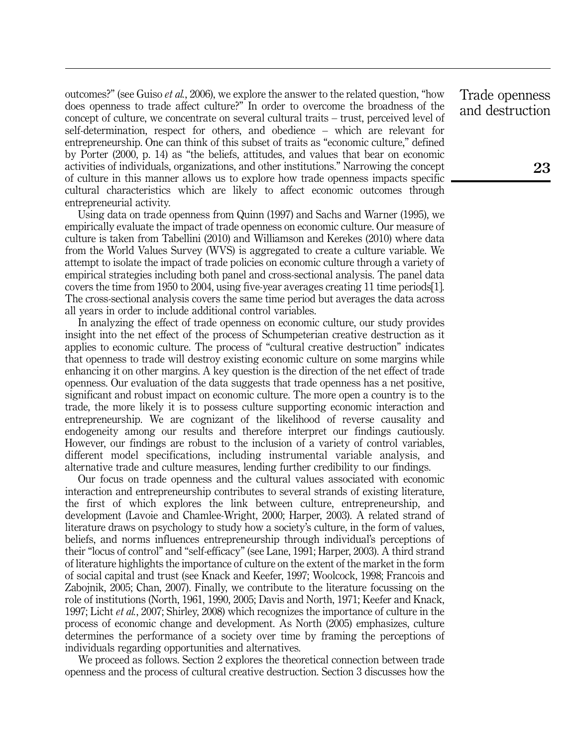outcomes?" (see Guiso et al., 2006), we explore the answer to the related question, "how does openness to trade affect culture?" In order to overcome the broadness of the concept of culture, we concentrate on several cultural traits – trust, perceived level of self-determination, respect for others, and obedience – which are relevant for entrepreneurship. One can think of this subset of traits as "economic culture," defined by Porter (2000, p. 14) as "the beliefs, attitudes, and values that bear on economic activities of individuals, organizations, and other institutions." Narrowing the concept of culture in this manner allows us to explore how trade openness impacts specific cultural characteristics which are likely to affect economic outcomes through entrepreneurial activity.

Using data on trade openness from Quinn (1997) and Sachs and Warner (1995), we empirically evaluate the impact of trade openness on economic culture. Our measure of culture is taken from Tabellini (2010) and Williamson and Kerekes (2010) where data from the World Values Survey (WVS) is aggregated to create a culture variable. We attempt to isolate the impact of trade policies on economic culture through a variety of empirical strategies including both panel and cross-sectional analysis. The panel data covers the time from 1950 to 2004, using five-year averages creating 11 time periods[1]. The cross-sectional analysis covers the same time period but averages the data across all years in order to include additional control variables.

In analyzing the effect of trade openness on economic culture, our study provides insight into the net effect of the process of Schumpeterian creative destruction as it applies to economic culture. The process of "cultural creative destruction" indicates that openness to trade will destroy existing economic culture on some margins while enhancing it on other margins. A key question is the direction of the net effect of trade openness. Our evaluation of the data suggests that trade openness has a net positive, significant and robust impact on economic culture. The more open a country is to the trade, the more likely it is to possess culture supporting economic interaction and entrepreneurship. We are cognizant of the likelihood of reverse causality and endogeneity among our results and therefore interpret our findings cautiously. However, our findings are robust to the inclusion of a variety of control variables, different model specifications, including instrumental variable analysis, and alternative trade and culture measures, lending further credibility to our findings.

Our focus on trade openness and the cultural values associated with economic interaction and entrepreneurship contributes to several strands of existing literature, the first of which explores the link between culture, entrepreneurship, and development (Lavoie and Chamlee-Wright, 2000; Harper, 2003). A related strand of literature draws on psychology to study how a society's culture, in the form of values, beliefs, and norms influences entrepreneurship through individual's perceptions of their "locus of control" and "self-efficacy" (see Lane, 1991; Harper, 2003). A third strand of literature highlights the importance of culture on the extent of the market in the form of social capital and trust (see Knack and Keefer, 1997; Woolcock, 1998; Francois and Zabojnik, 2005; Chan, 2007). Finally, we contribute to the literature focussing on the role of institutions (North, 1961, 1990, 2005; Davis and North, 1971; Keefer and Knack, 1997; Licht et al., 2007; Shirley, 2008) which recognizes the importance of culture in the process of economic change and development. As North (2005) emphasizes, culture determines the performance of a society over time by framing the perceptions of individuals regarding opportunities and alternatives.

We proceed as follows. Section 2 explores the theoretical connection between trade openness and the process of cultural creative destruction. Section 3 discusses how the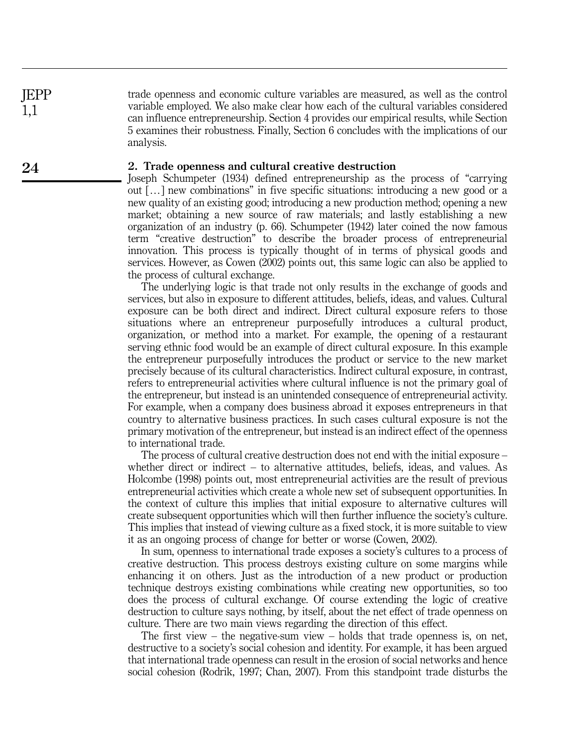trade openness and economic culture variables are measured, as well as the control variable employed. We also make clear how each of the cultural variables considered can influence entrepreneurship. Section 4 provides our empirical results, while Section 5 examines their robustness. Finally, Section 6 concludes with the implications of our analysis.

#### 2. Trade openness and cultural creative destruction

24

**IEPP** 1,1

> Joseph Schumpeter (1934) defined entrepreneurship as the process of "carrying out [y] new combinations" in five specific situations: introducing a new good or a new quality of an existing good; introducing a new production method; opening a new market; obtaining a new source of raw materials; and lastly establishing a new organization of an industry (p. 66). Schumpeter (1942) later coined the now famous term "creative destruction" to describe the broader process of entrepreneurial innovation. This process is typically thought of in terms of physical goods and services. However, as Cowen (2002) points out, this same logic can also be applied to the process of cultural exchange.

> The underlying logic is that trade not only results in the exchange of goods and services, but also in exposure to different attitudes, beliefs, ideas, and values. Cultural exposure can be both direct and indirect. Direct cultural exposure refers to those situations where an entrepreneur purposefully introduces a cultural product, organization, or method into a market. For example, the opening of a restaurant serving ethnic food would be an example of direct cultural exposure. In this example the entrepreneur purposefully introduces the product or service to the new market precisely because of its cultural characteristics. Indirect cultural exposure, in contrast, refers to entrepreneurial activities where cultural influence is not the primary goal of the entrepreneur, but instead is an unintended consequence of entrepreneurial activity. For example, when a company does business abroad it exposes entrepreneurs in that country to alternative business practices. In such cases cultural exposure is not the primary motivation of the entrepreneur, but instead is an indirect effect of the openness to international trade.

> The process of cultural creative destruction does not end with the initial exposure – whether direct or indirect – to alternative attitudes, beliefs, ideas, and values. As Holcombe (1998) points out, most entrepreneurial activities are the result of previous entrepreneurial activities which create a whole new set of subsequent opportunities. In the context of culture this implies that initial exposure to alternative cultures will create subsequent opportunities which will then further influence the society's culture. This implies that instead of viewing culture as a fixed stock, it is more suitable to view it as an ongoing process of change for better or worse (Cowen, 2002).

> In sum, openness to international trade exposes a society's cultures to a process of creative destruction. This process destroys existing culture on some margins while enhancing it on others. Just as the introduction of a new product or production technique destroys existing combinations while creating new opportunities, so too does the process of cultural exchange. Of course extending the logic of creative destruction to culture says nothing, by itself, about the net effect of trade openness on culture. There are two main views regarding the direction of this effect.

> The first view  $-$  the negative-sum view  $-$  holds that trade openness is, on net, destructive to a society's social cohesion and identity. For example, it has been argued that international trade openness can result in the erosion of social networks and hence social cohesion (Rodrik, 1997; Chan, 2007). From this standpoint trade disturbs the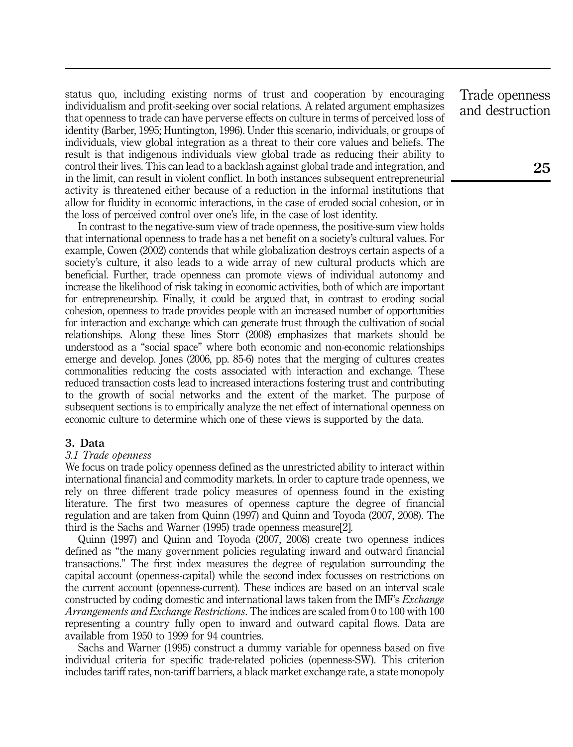status quo, including existing norms of trust and cooperation by encouraging individualism and profit-seeking over social relations. A related argument emphasizes that openness to trade can have perverse effects on culture in terms of perceived loss of identity (Barber, 1995; Huntington, 1996). Under this scenario, individuals, or groups of individuals, view global integration as a threat to their core values and beliefs. The result is that indigenous individuals view global trade as reducing their ability to control their lives. This can lead to a backlash against global trade and integration, and in the limit, can result in violent conflict. In both instances subsequent entrepreneurial activity is threatened either because of a reduction in the informal institutions that allow for fluidity in economic interactions, in the case of eroded social cohesion, or in the loss of perceived control over one's life, in the case of lost identity.

In contrast to the negative-sum view of trade openness, the positive-sum view holds that international openness to trade has a net benefit on a society's cultural values. For example, Cowen (2002) contends that while globalization destroys certain aspects of a society's culture, it also leads to a wide array of new cultural products which are beneficial. Further, trade openness can promote views of individual autonomy and increase the likelihood of risk taking in economic activities, both of which are important for entrepreneurship. Finally, it could be argued that, in contrast to eroding social cohesion, openness to trade provides people with an increased number of opportunities for interaction and exchange which can generate trust through the cultivation of social relationships. Along these lines Storr (2008) emphasizes that markets should be understood as a "social space" where both economic and non-economic relationships emerge and develop. Jones (2006, pp. 85-6) notes that the merging of cultures creates commonalities reducing the costs associated with interaction and exchange. These reduced transaction costs lead to increased interactions fostering trust and contributing to the growth of social networks and the extent of the market. The purpose of subsequent sections is to empirically analyze the net effect of international openness on economic culture to determine which one of these views is supported by the data.

# 3. Data

#### 3.1 Trade openness

We focus on trade policy openness defined as the unrestricted ability to interact within international financial and commodity markets. In order to capture trade openness, we rely on three different trade policy measures of openness found in the existing literature. The first two measures of openness capture the degree of financial regulation and are taken from Quinn (1997) and Quinn and Toyoda (2007, 2008). The third is the Sachs and Warner (1995) trade openness measure[2].

Quinn (1997) and Quinn and Toyoda (2007, 2008) create two openness indices defined as "the many government policies regulating inward and outward financial transactions." The first index measures the degree of regulation surrounding the capital account (openness-capital) while the second index focusses on restrictions on the current account (openness-current). These indices are based on an interval scale constructed by coding domestic and international laws taken from the IMF's Exchange Arrangements and Exchange Restrictions. The indices are scaled from 0 to 100 with 100 representing a country fully open to inward and outward capital flows. Data are available from 1950 to 1999 for 94 countries.

Sachs and Warner (1995) construct a dummy variable for openness based on five individual criteria for specific trade-related policies (openness-SW). This criterion includes tariff rates, non-tariff barriers, a black market exchange rate, a state monopoly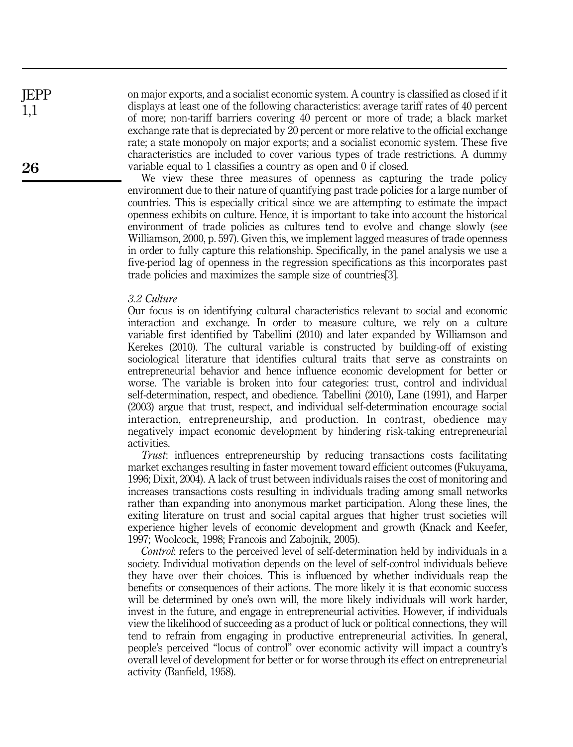on major exports, and a socialist economic system. A country is classified as closed if it displays at least one of the following characteristics: average tariff rates of 40 percent of more; non-tariff barriers covering 40 percent or more of trade; a black market exchange rate that is depreciated by 20 percent or more relative to the official exchange rate; a state monopoly on major exports; and a socialist economic system. These five characteristics are included to cover various types of trade restrictions. A dummy variable equal to 1 classifies a country as open and 0 if closed.

We view these three measures of openness as capturing the trade policy environment due to their nature of quantifying past trade policies for a large number of countries. This is especially critical since we are attempting to estimate the impact openness exhibits on culture. Hence, it is important to take into account the historical environment of trade policies as cultures tend to evolve and change slowly (see Williamson, 2000, p. 597). Given this, we implement lagged measures of trade openness in order to fully capture this relationship. Specifically, in the panel analysis we use a five-period lag of openness in the regression specifications as this incorporates past trade policies and maximizes the sample size of countries[3].

#### 3.2 Culture

Our focus is on identifying cultural characteristics relevant to social and economic interaction and exchange. In order to measure culture, we rely on a culture variable first identified by Tabellini (2010) and later expanded by Williamson and Kerekes (2010). The cultural variable is constructed by building-off of existing sociological literature that identifies cultural traits that serve as constraints on entrepreneurial behavior and hence influence economic development for better or worse. The variable is broken into four categories: trust, control and individual self-determination, respect, and obedience. Tabellini (2010), Lane (1991), and Harper (2003) argue that trust, respect, and individual self-determination encourage social interaction, entrepreneurship, and production. In contrast, obedience may negatively impact economic development by hindering risk-taking entrepreneurial activities.

Trust: influences entrepreneurship by reducing transactions costs facilitating market exchanges resulting in faster movement toward efficient outcomes (Fukuyama, 1996; Dixit, 2004). A lack of trust between individuals raises the cost of monitoring and increases transactions costs resulting in individuals trading among small networks rather than expanding into anonymous market participation. Along these lines, the exiting literature on trust and social capital argues that higher trust societies will experience higher levels of economic development and growth (Knack and Keefer, 1997; Woolcock, 1998; Francois and Zabojnik, 2005).

Control: refers to the perceived level of self-determination held by individuals in a society. Individual motivation depends on the level of self-control individuals believe they have over their choices. This is influenced by whether individuals reap the benefits or consequences of their actions. The more likely it is that economic success will be determined by one's own will, the more likely individuals will work harder, invest in the future, and engage in entrepreneurial activities. However, if individuals view the likelihood of succeeding as a product of luck or political connections, they will tend to refrain from engaging in productive entrepreneurial activities. In general, people's perceived "locus of control" over economic activity will impact a country's overall level of development for better or for worse through its effect on entrepreneurial activity (Banfield, 1958).

**IEPP** 1,1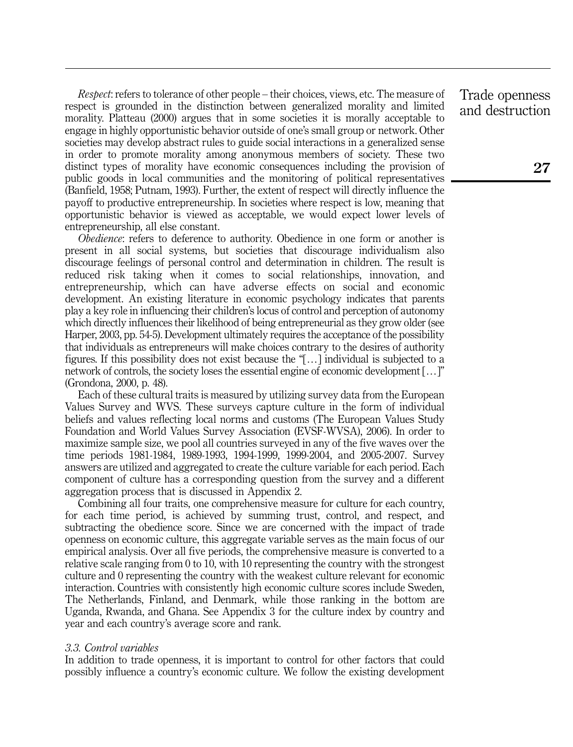Respect: refers to tolerance of other people – their choices, views, etc. The measure of respect is grounded in the distinction between generalized morality and limited morality. Platteau (2000) argues that in some societies it is morally acceptable to engage in highly opportunistic behavior outside of one's small group or network. Other societies may develop abstract rules to guide social interactions in a generalized sense in order to promote morality among anonymous members of society. These two distinct types of morality have economic consequences including the provision of public goods in local communities and the monitoring of political representatives (Banfield, 1958; Putnam, 1993). Further, the extent of respect will directly influence the payoff to productive entrepreneurship. In societies where respect is low, meaning that opportunistic behavior is viewed as acceptable, we would expect lower levels of entrepreneurship, all else constant.

Obedience: refers to deference to authority. Obedience in one form or another is present in all social systems, but societies that discourage individualism also discourage feelings of personal control and determination in children. The result is reduced risk taking when it comes to social relationships, innovation, and entrepreneurship, which can have adverse effects on social and economic development. An existing literature in economic psychology indicates that parents play a key role in influencing their children's locus of control and perception of autonomy which directly influences their likelihood of being entrepreneurial as they grow older (see Harper, 2003, pp. 54-5). Development ultimately requires the acceptance of the possibility that individuals as entrepreneurs will make choices contrary to the desires of authority figures. If this possibility does not exist because the "[ $\dots$ ] individual is subjected to a network of controls, the society loses the essential engine of economic development [...]" (Grondona, 2000, p. 48).

Each of these cultural traits is measured by utilizing survey data from the European Values Survey and WVS. These surveys capture culture in the form of individual beliefs and values reflecting local norms and customs (The European Values Study Foundation and World Values Survey Association (EVSF-WVSA), 2006). In order to maximize sample size, we pool all countries surveyed in any of the five waves over the time periods 1981-1984, 1989-1993, 1994-1999, 1999-2004, and 2005-2007. Survey answers are utilized and aggregated to create the culture variable for each period. Each component of culture has a corresponding question from the survey and a different aggregation process that is discussed in Appendix 2.

Combining all four traits, one comprehensive measure for culture for each country, for each time period, is achieved by summing trust, control, and respect, and subtracting the obedience score. Since we are concerned with the impact of trade openness on economic culture, this aggregate variable serves as the main focus of our empirical analysis. Over all five periods, the comprehensive measure is converted to a relative scale ranging from 0 to 10, with 10 representing the country with the strongest culture and 0 representing the country with the weakest culture relevant for economic interaction. Countries with consistently high economic culture scores include Sweden, The Netherlands, Finland, and Denmark, while those ranking in the bottom are Uganda, Rwanda, and Ghana. See Appendix 3 for the culture index by country and year and each country's average score and rank.

### 3.3. Control variables

In addition to trade openness, it is important to control for other factors that could possibly influence a country's economic culture. We follow the existing development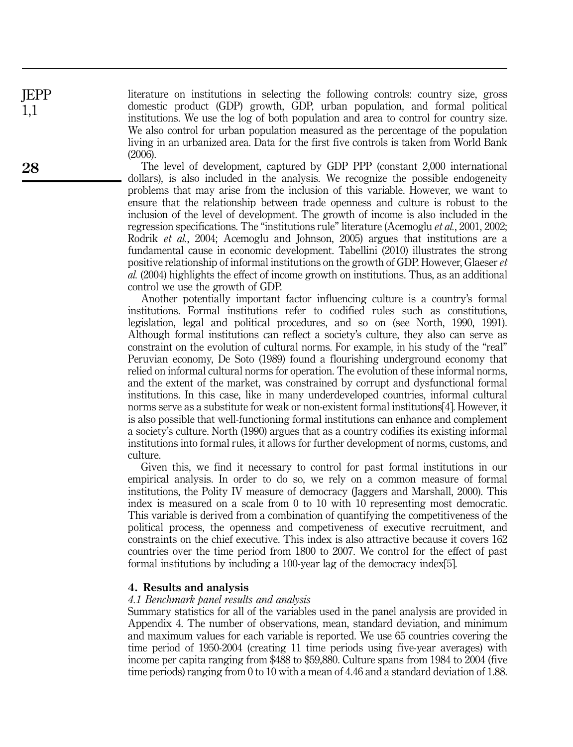literature on institutions in selecting the following controls: country size, gross domestic product (GDP) growth, GDP, urban population, and formal political institutions. We use the log of both population and area to control for country size. We also control for urban population measured as the percentage of the population living in an urbanized area. Data for the first five controls is taken from World Bank (2006).

The level of development, captured by GDP PPP (constant 2,000 international dollars), is also included in the analysis. We recognize the possible endogeneity problems that may arise from the inclusion of this variable. However, we want to ensure that the relationship between trade openness and culture is robust to the inclusion of the level of development. The growth of income is also included in the regression specifications. The "institutions rule" literature (Acemoglu et al., 2001, 2002; Rodrik et al., 2004; Acemoglu and Johnson, 2005) argues that institutions are a fundamental cause in economic development. Tabellini (2010) illustrates the strong positive relationship of informal institutions on the growth of GDP. However, Glaeser et al. (2004) highlights the effect of income growth on institutions. Thus, as an additional control we use the growth of GDP.

Another potentially important factor influencing culture is a country's formal institutions. Formal institutions refer to codified rules such as constitutions, legislation, legal and political procedures, and so on (see North, 1990, 1991). Although formal institutions can reflect a society's culture, they also can serve as constraint on the evolution of cultural norms. For example, in his study of the "real" Peruvian economy, De Soto (1989) found a flourishing underground economy that relied on informal cultural norms for operation. The evolution of these informal norms, and the extent of the market, was constrained by corrupt and dysfunctional formal institutions. In this case, like in many underdeveloped countries, informal cultural norms serve as a substitute for weak or non-existent formal institutions[4]. However, it is also possible that well-functioning formal institutions can enhance and complement a society's culture. North (1990) argues that as a country codifies its existing informal institutions into formal rules, it allows for further development of norms, customs, and culture.

Given this, we find it necessary to control for past formal institutions in our empirical analysis. In order to do so, we rely on a common measure of formal institutions, the Polity IV measure of democracy (Jaggers and Marshall, 2000). This index is measured on a scale from 0 to 10 with 10 representing most democratic. This variable is derived from a combination of quantifying the competitiveness of the political process, the openness and competiveness of executive recruitment, and constraints on the chief executive. This index is also attractive because it covers 162 countries over the time period from 1800 to 2007. We control for the effect of past formal institutions by including a 100-year lag of the democracy index[5].

## 4. Results and analysis

#### 4.1 Benchmark panel results and analysis

Summary statistics for all of the variables used in the panel analysis are provided in Appendix 4. The number of observations, mean, standard deviation, and minimum and maximum values for each variable is reported. We use 65 countries covering the time period of 1950-2004 (creating 11 time periods using five-year averages) with income per capita ranging from \$488 to \$59,880. Culture spans from 1984 to 2004 (five time periods) ranging from 0 to 10 with a mean of 4.46 and a standard deviation of 1.88.

**IEPP** 1,1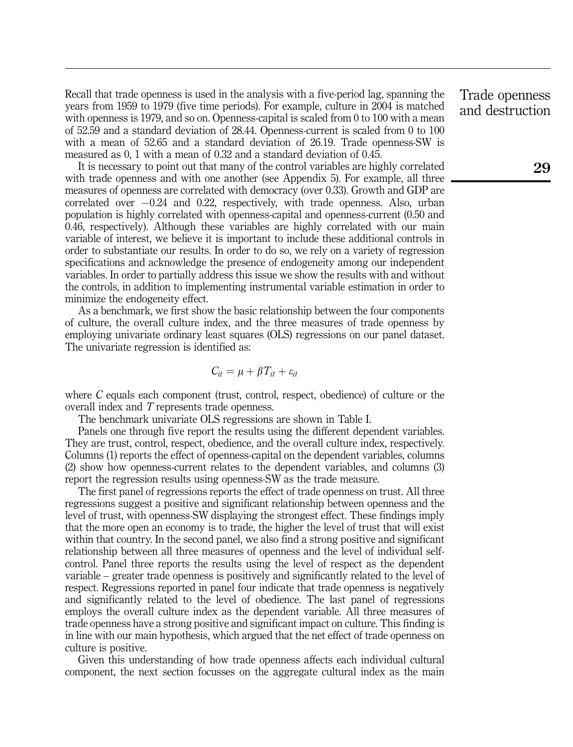Recall that trade openness is used in the analysis with a five-period lag, spanning the years from 1959 to 1979 (five time periods). For example, culture in 2004 is matched with openness is 1979, and so on. Openness-capital is scaled from 0 to 100 with a mean of 52.59 and a standard deviation of 28.44. Openness-current is scaled from 0 to 100 with a mean of 52.65 and a standard deviation of 26.19. Trade openness-SW is measured as 0, 1 with a mean of 0.32 and a standard deviation of 0.45.

It is necessary to point out that many of the control variables are highly correlated with trade openness and with one another (see Appendix 5). For example, all three measures of openness are correlated with democracy (over 0.33). Growth and GDP are correlated over -0.24 and 0.22, respectively, with trade openness. Also, urban population is highly correlated with openness-capital and openness-current (0.50 and 0.46, respectively). Although these variables are highly correlated with our main variable of interest, we believe it is important to include these additional controls in order to substantiate our results. In order to do so, we rely on a variety of regression specifications and acknowledge the presence of endogeneity among our independent variables. In order to partially address this issue we show the results with and without the controls, in addition to implementing instrumental variable estimation in order to minimize the endogeneity effect.

As a benchmark, we first show the basic relationship between the four components of culture, the overall culture index, and the three measures of trade openness by employing univariate ordinary least squares (OLS) regressions on our panel dataset. The univariate regression is identified as:

$$
C_{it} = \mu + \beta T_{it} + \varepsilon_{it}
$$

where C equals each component (trust, control, respect, obedience) of culture or the overall index and T represents trade openness.

The benchmark univariate OLS regressions are shown in Table I.

Panels one through five report the results using the different dependent variables. They are trust, control, respect, obedience, and the overall culture index, respectively. Columns (1) reports the effect of openness-capital on the dependent variables, columns (2) show how openness-current relates to the dependent variables, and columns (3) report the regression results using openness-SW as the trade measure.

The first panel of regressions reports the effect of trade openness on trust. All three regressions suggest a positive and significant relationship between openness and the level of trust, with openness-SW displaying the strongest effect. These findings imply that the more open an economy is to trade, the higher the level of trust that will exist within that country. In the second panel, we also find a strong positive and significant relationship between all three measures of openness and the level of individual selfcontrol. Panel three reports the results using the level of respect as the dependent variable – greater trade openness is positively and significantly related to the level of respect. Regressions reported in panel four indicate that trade openness is negatively and significantly related to the level of obedience. The last panel of regressions employs the overall culture index as the dependent variable. All three measures of trade openness have a strong positive and significant impact on culture. This finding is in line with our main hypothesis, which argued that the net effect of trade openness on culture is positive.

Given this understanding of how trade openness affects each individual cultural component, the next section focusses on the aggregate cultural index as the main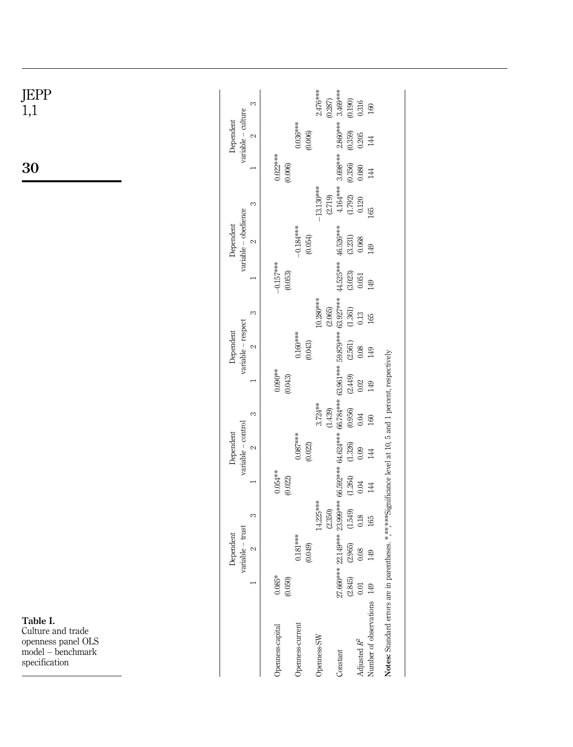| JEPP                                                                                        |                                   |                    |                        |                        |                         |                                                      |                                          |                                                                                                             |
|---------------------------------------------------------------------------------------------|-----------------------------------|--------------------|------------------------|------------------------|-------------------------|------------------------------------------------------|------------------------------------------|-------------------------------------------------------------------------------------------------------------|
| 1,1                                                                                         |                                   | S                  |                        |                        | $2.476***$<br>$(0.287)$ | 3.469***<br>(0.190)                                  | 0.316<br>160                             |                                                                                                             |
|                                                                                             | variable - culture<br>Dependent   | 2                  |                        | $0.036***$<br>(0.006)  |                         | $2.860***$<br>(0.359)                                | 0.205<br>144                             |                                                                                                             |
| 30                                                                                          |                                   | Η                  | $0.022***$<br>(0.006)  |                        |                         | 3.698***<br>(0.356)                                  | 0.080<br>144                             |                                                                                                             |
|                                                                                             |                                   | S                  |                        |                        | $-13.130***$<br>(2.719) | $4.164***$<br>(1.792)                                | $0.120\,$<br>165                         |                                                                                                             |
|                                                                                             | variable - obedience<br>Dependent | 2                  |                        | $-0.184***$<br>(0.054) |                         | 46.526***<br>(3.231)                                 | 0.068<br>149                             |                                                                                                             |
|                                                                                             |                                   | $\overline{ }$     | $-0.157***$<br>(0.053) |                        |                         | 44.525***<br>(3.023)                                 | 0.051<br>149                             |                                                                                                             |
|                                                                                             |                                   | 3                  |                        |                        | 10.280***<br>(2.065)    | 66.784**** 63.961*** 59.879*** 63.927***<br>(1.361)  | $\!0.13$<br>165                          |                                                                                                             |
|                                                                                             | variable - respect<br>Dependent   | $\mathbf{\hat{z}}$ |                        | $0.160***$<br>(0.043)  |                         | (2.561)                                              | $0.08$<br>149                            |                                                                                                             |
|                                                                                             |                                   | Η                  | $0.090**$<br>(0.043)   |                        |                         | (2.449)                                              | $0.02\,$<br>149                          |                                                                                                             |
|                                                                                             |                                   | S                  |                        |                        | $3.724***$<br>(1.439)   | (0.956)                                              | 0.04<br>160                              |                                                                                                             |
|                                                                                             | variable - control<br>Dependent   | $\sim$             |                        | $0.087***$<br>(0.022)  |                         | (1.326)                                              | 0.09<br>144                              |                                                                                                             |
|                                                                                             |                                   | $\overline{ }$     | $0.054***$<br>(0.022)  |                        |                         | 22.149**** 23.999*** 66.592*** 64.624****<br>(1.264) | 0.04<br>144                              |                                                                                                             |
|                                                                                             |                                   | 3                  |                        |                        | 14.225***<br>(2.350)    | (1.549)                                              | 0.18<br>165                              |                                                                                                             |
|                                                                                             | variable - trust<br>Dependent     | $\mathbf{\Omega}$  |                        | $0.181***$<br>(0.049)  |                         | (2.965)                                              | 0.08<br>149                              |                                                                                                             |
|                                                                                             |                                   |                    | $0.085*$<br>$(0.050)$  |                        |                         | $27.660***$<br>(2.845)<br>0.01                       | 149                                      |                                                                                                             |
| Table I.<br>Culture and trade<br>openness panel OLS<br>$model - benchmark$<br>specification |                                   |                    | Openness-capital       | Openness-current       | Openness-SW             | Constant                                             | Number of observations<br>Adjusted $R^2$ | Notes: Standard errors are in parentheses. *,**,****Significance level at 10, 5 and 1 percent, respectively |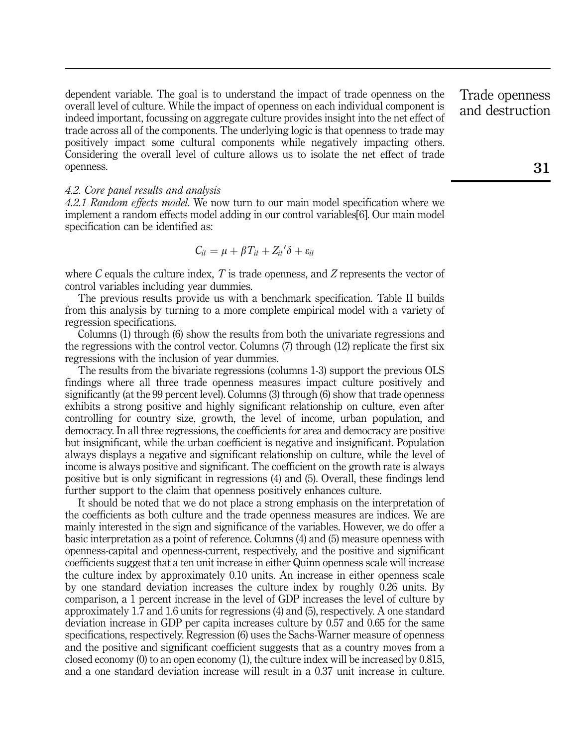dependent variable. The goal is to understand the impact of trade openness on the overall level of culture. While the impact of openness on each individual component is indeed important, focussing on aggregate culture provides insight into the net effect of trade across all of the components. The underlying logic is that openness to trade may positively impact some cultural components while negatively impacting others. Considering the overall level of culture allows us to isolate the net effect of trade openness.

## 4.2. Core panel results and analysis

4.2.1 Random effects model. We now turn to our main model specification where we implement a random effects model adding in our control variables[6]. Our main model specification can be identified as:

$$
C_{it} = \mu + \beta T_{it} + Z_{it}'\delta + \varepsilon_{it}
$$

where C equals the culture index,  $T$  is trade openness, and  $Z$  represents the vector of control variables including year dummies.

The previous results provide us with a benchmark specification. Table II builds from this analysis by turning to a more complete empirical model with a variety of regression specifications.

Columns (1) through (6) show the results from both the univariate regressions and the regressions with the control vector. Columns (7) through (12) replicate the first six regressions with the inclusion of year dummies.

The results from the bivariate regressions (columns 1-3) support the previous OLS findings where all three trade openness measures impact culture positively and significantly (at the 99 percent level). Columns (3) through (6) show that trade openness exhibits a strong positive and highly significant relationship on culture, even after controlling for country size, growth, the level of income, urban population, and democracy. In all three regressions, the coefficients for area and democracy are positive but insignificant, while the urban coefficient is negative and insignificant. Population always displays a negative and significant relationship on culture, while the level of income is always positive and significant. The coefficient on the growth rate is always positive but is only significant in regressions (4) and (5). Overall, these findings lend further support to the claim that openness positively enhances culture.

It should be noted that we do not place a strong emphasis on the interpretation of the coefficients as both culture and the trade openness measures are indices. We are mainly interested in the sign and significance of the variables. However, we do offer a basic interpretation as a point of reference. Columns (4) and (5) measure openness with openness-capital and openness-current, respectively, and the positive and significant coefficients suggest that a ten unit increase in either Quinn openness scale will increase the culture index by approximately 0.10 units. An increase in either openness scale by one standard deviation increases the culture index by roughly 0.26 units. By comparison, a 1 percent increase in the level of GDP increases the level of culture by approximately 1.7 and 1.6 units for regressions (4) and (5), respectively. A one standard deviation increase in GDP per capita increases culture by 0.57 and 0.65 for the same specifications, respectively. Regression (6) uses the Sachs-Warner measure of openness and the positive and significant coefficient suggests that as a country moves from a closed economy (0) to an open economy (1), the culture index will be increased by 0.815, and a one standard deviation increase will result in a 0.37 unit increase in culture.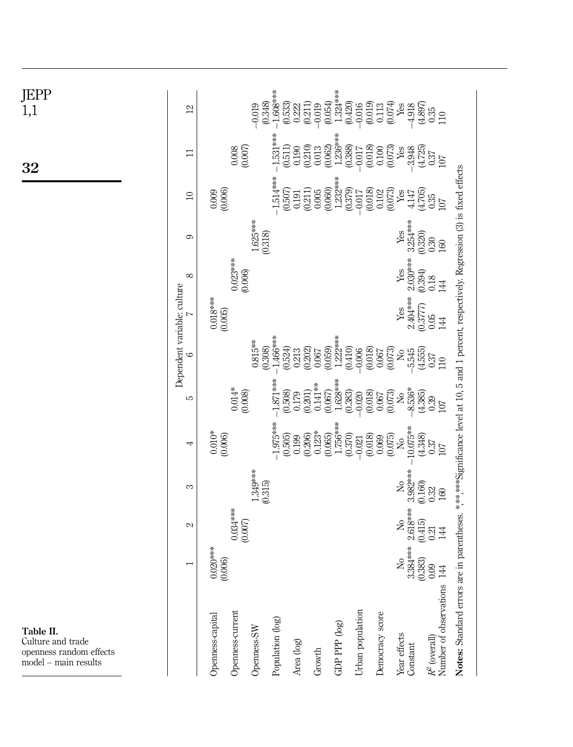| JEPP<br>1,1<br>32                                                                 | $\overline{2}$<br>Ξ<br>10<br>G.                      | $(0.348)$<br>-1.608***<br>1.324***<br>(0.054)<br>(0.420)<br>(0.019)<br>$(0.533)$<br>$0.222$<br>(0.211)<br>(0.074)<br>$-0.019$<br>$-0.016$<br>0.113<br>$-4.918$<br>$(4.897)$<br>0.35<br>$-0.019$<br>Yes<br>110<br>$-1.531***$<br>$(0.062)$<br>1.236***<br>$\begin{array}{c} (0.511) \\ 0.190 \end{array}$<br>(0.210)<br>(0.388)<br>(0.018)<br>(0.007)<br>(0.073)<br>0.008<br>0.013<br>$(4.725)$<br>$0.37$<br>$-0.017$<br>0.100<br>Yes<br>3.948<br>107<br>$-1.514***$<br>$(0.060)$<br>1.232***<br>(0.379)<br>(0.006)<br>(0.211)<br>(0.018)<br>(0.073)<br>0.009<br>(0.507)<br>0.102<br>(4.705)<br>0.005<br>$-0.017$<br>Yes<br>4.147<br>0.191<br>0.35<br>107<br>3.254 ***<br>1.625***<br>Yes<br>(0.320)<br>(0.318)<br>0.30<br>160 |
|-----------------------------------------------------------------------------------|------------------------------------------------------|-------------------------------------------------------------------------------------------------------------------------------------------------------------------------------------------------------------------------------------------------------------------------------------------------------------------------------------------------------------------------------------------------------------------------------------------------------------------------------------------------------------------------------------------------------------------------------------------------------------------------------------------------------------------------------------------------------------------------------|
|                                                                                   | $^{\circ}$<br>Dependent variable: culture<br>$\circ$ | $2.030***$<br>$0.023***$<br>Yes<br>(0.394)<br>(0.006)<br>0.18<br>144<br>2.404 ***<br>$0.018***$<br>0.3777<br>Yes<br>(0.005)<br>0.05<br>144<br>$-1.466$ **<br>$1.222***$<br>$0.815***$<br>(0.308)<br>(0.059)<br>$\left(0.410\right)$<br>(0.524)<br>(0.018)<br>(0.202)<br>(0.073)<br>(4.555)<br>0.213<br>$-0.006$<br>$-5.545$<br>0.067<br>0.067<br>$\beta$                                                                                                                                                                                                                                                                                                                                                                      |
|                                                                                   | S<br>4                                               | 0.37<br>110<br>$-1.871***$<br>1.628***<br>$0.141***$<br>$0.014*$<br>$-8.536*$<br>(0.067)<br>(0.508)<br>(0.201)<br>(0.383)<br>(0.008)<br>(0.018)<br>(0.073)<br>(4.385)<br>0.179<br>$-0.020$<br>$\mathcal{S}$<br>0.067<br>0.39<br>107<br>$-1.975***$<br>$(0.065)$<br>1.756***<br>$10.075***$<br>$0.010*$<br>$0.123*$<br>(0.505)<br>(0.006)<br>(0.206)<br>(0.370)<br>(4.348)<br>(0.018)<br>(0.075)<br>0.199<br>0.069<br>$-0.021$<br>$\mathop{\mathsf{S}}\nolimits$<br>0.37<br>107                                                                                                                                                                                                                                                |
|                                                                                   | S<br>2                                               | 1.349***<br>3.982***<br>(0.160)<br>$\mathcal{L}_{\text{O}}$<br>(0.315)<br>0.32<br>160<br>2.618***<br>$0.034***$<br>$\Sigma$<br>(0.415)<br>(0.007)<br>0.21<br>144                                                                                                                                                                                                                                                                                                                                                                                                                                                                                                                                                              |
| Table II.<br>Culture and trade<br>openness random effects<br>model - main results | ⊣                                                    | Constant 3.384*** 2.<br>$R^2$ (overall) (0.383) (0.<br>$R^2$ (overall) 0.0383) (0.<br>0.09 0.<br>Number of observations 144 1.<br>$0.020***$<br>$\mathcal{L}^{\circ}$<br>Urban population<br>Openness-current<br>Democracy score<br>Openness-capital<br>Population (log)<br>$GDP$ $PPP$ $(log)$<br>Openness-SW<br>Year effects<br>Area (log)<br>Growth                                                                                                                                                                                                                                                                                                                                                                        |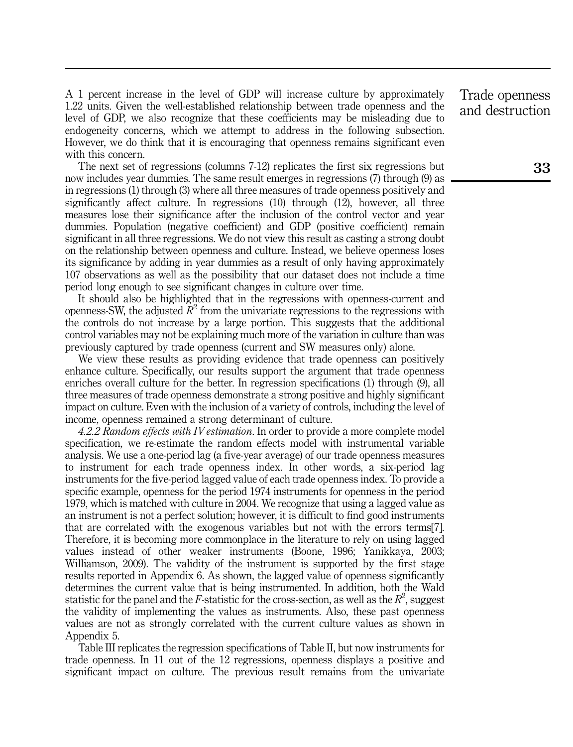A 1 percent increase in the level of GDP will increase culture by approximately 1.22 units. Given the well-established relationship between trade openness and the level of GDP, we also recognize that these coefficients may be misleading due to endogeneity concerns, which we attempt to address in the following subsection. However, we do think that it is encouraging that openness remains significant even with this concern.

The next set of regressions (columns 7-12) replicates the first six regressions but now includes year dummies. The same result emerges in regressions (7) through (9) as in regressions (1) through (3) where all three measures of trade openness positively and significantly affect culture. In regressions (10) through (12), however, all three measures lose their significance after the inclusion of the control vector and year dummies. Population (negative coefficient) and GDP (positive coefficient) remain significant in all three regressions. We do not view this result as casting a strong doubt on the relationship between openness and culture. Instead, we believe openness loses its significance by adding in year dummies as a result of only having approximately 107 observations as well as the possibility that our dataset does not include a time period long enough to see significant changes in culture over time.

It should also be highlighted that in the regressions with openness-current and openness-SW, the adjusted  $R^2$  from the univariate regressions to the regressions with the controls do not increase by a large portion. This suggests that the additional control variables may not be explaining much more of the variation in culture than was previously captured by trade openness (current and SW measures only) alone.

We view these results as providing evidence that trade openness can positively enhance culture. Specifically, our results support the argument that trade openness enriches overall culture for the better. In regression specifications (1) through (9), all three measures of trade openness demonstrate a strong positive and highly significant impact on culture. Even with the inclusion of a variety of controls, including the level of income, openness remained a strong determinant of culture.

4.2.2 Random effects with *IV estimation*. In order to provide a more complete model specification, we re-estimate the random effects model with instrumental variable analysis. We use a one-period lag (a five-year average) of our trade openness measures to instrument for each trade openness index. In other words, a six-period lag instruments for the five-period lagged value of each trade openness index. To provide a specific example, openness for the period 1974 instruments for openness in the period 1979, which is matched with culture in 2004. We recognize that using a lagged value as an instrument is not a perfect solution; however, it is difficult to find good instruments that are correlated with the exogenous variables but not with the errors terms[7]. Therefore, it is becoming more commonplace in the literature to rely on using lagged values instead of other weaker instruments (Boone, 1996; Yanikkaya, 2003; Williamson, 2009). The validity of the instrument is supported by the first stage results reported in Appendix 6. As shown, the lagged value of openness significantly determines the current value that is being instrumented. In addition, both the Wald statistic for the panel and the F-statistic for the cross-section, as well as the  $R^2$ , suggest the validity of implementing the values as instruments. Also, these past openness values are not as strongly correlated with the current culture values as shown in Appendix 5.

Table III replicates the regression specifications of Table II, but now instruments for trade openness. In 11 out of the 12 regressions, openness displays a positive and significant impact on culture. The previous result remains from the univariate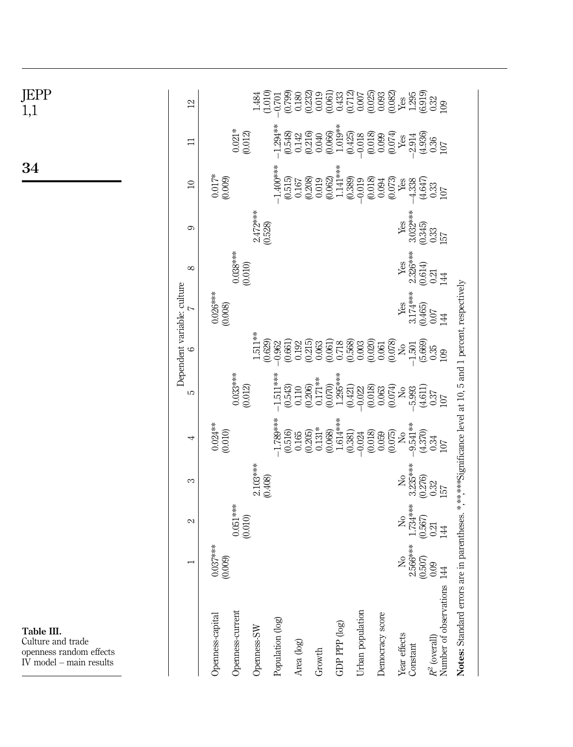| <b>JEPP</b><br>1,1<br>34                                                                | 12<br>$\Box$                                  |                       | $0.021*$<br>(0.012)   | 1.484       | (1.010)<br>$-0.701$<br>$-1.294***$ | (0.799)<br>$\frac{0.180}{(0.232)}$<br>(0.548)<br>$\frac{0.142}{0.216}$ | 0.019<br>0.040     | (0.712)<br>$\begin{array}{c} (0.061) \\ 0.433 \end{array}$<br>$\begin{array}{c} (0.066) \\ 1.019*** \end{array}$<br>(0.425)<br>1.141 *** | (0.025)<br>0.007<br>$-0.018$<br>$(0.018)$   | (0.082)<br>0.093<br>(0.074)<br>0.099 | 1.295<br>$\operatorname{Yes}$<br>$-2.914$<br>Yes                               | (6.919)<br>0.32<br>109<br>$(4.936)$<br>$0.36$<br>107                                                                                                                                                                                                                                                                                                                                                                                       |
|-----------------------------------------------------------------------------------------|-----------------------------------------------|-----------------------|-----------------------|-------------|------------------------------------|------------------------------------------------------------------------|--------------------|------------------------------------------------------------------------------------------------------------------------------------------|---------------------------------------------|--------------------------------------|--------------------------------------------------------------------------------|--------------------------------------------------------------------------------------------------------------------------------------------------------------------------------------------------------------------------------------------------------------------------------------------------------------------------------------------------------------------------------------------------------------------------------------------|
|                                                                                         | $\Box$<br>9                                   | $0.017*$<br>(0.009)   |                       | 2.472***    | $-1.400***$<br>(0.528)             | (0.208)<br>(0.515)<br>0.167                                            | 0.019              | (0.062)<br>(0.389)                                                                                                                       | (0.018)<br>$-0.019$                         | (0.073)<br>0.094                     | Yes<br>$-4.338$<br>3.032****<br>Yes                                            | (4.647)<br>$\begin{array}{c} 0.33 \\ 107 \end{array}$<br>(0.345)<br>0.33<br>157                                                                                                                                                                                                                                                                                                                                                            |
|                                                                                         | $\infty$                                      |                       | $0.038***$<br>(0.010) |             |                                    |                                                                        |                    |                                                                                                                                          |                                             |                                      | $2.326***$<br>Yes                                                              | (0.614)<br>0.21<br>144                                                                                                                                                                                                                                                                                                                                                                                                                     |
|                                                                                         | Dependent variable: culture<br>$\overline{ }$ | $0.026***$<br>(0.008) |                       | $1.511***$  |                                    |                                                                        |                    |                                                                                                                                          |                                             |                                      | 3.174***<br>Yes                                                                | (0.465)<br>0.07<br>144                                                                                                                                                                                                                                                                                                                                                                                                                     |
|                                                                                         | $\circ$<br>5                                  |                       | $0.033***$<br>(0.012) |             | (0.629)<br>$-0.962$<br>$-1.511***$ | (0.661)<br>(0.215)<br>0.192<br>(0.206)<br>(0.543)<br>0.110             | 0.063<br>$0.171**$ | (0.568)<br>(0.061)<br>0.718<br>1.295***<br>(0.070)<br>(0.421)                                                                            | $0.003$<br>$(0.020)$<br>(0.018)<br>$-0.022$ | (0.078)<br>0.061<br>(0.074)<br>0.063 | $-1.501$<br>(5.669)<br>$\overline{a}$<br>$\Sigma$<br>5.993                     | 0.35<br>109<br>$(4.611)$<br>0.37<br>107                                                                                                                                                                                                                                                                                                                                                                                                    |
|                                                                                         | 4                                             | $0.024***$<br>(0.010) |                       |             | 1.789***                           | (0.516)<br>(0.205)<br>0.165                                            | $0.131*$           | $1.614***$<br>(0.068)<br>(0.381)                                                                                                         | (0.018)<br>$-0.024$                         | (0.075)<br>0.059                     | $9.541**$<br>$\Sigma$                                                          | (4.370)<br>0.34<br>107                                                                                                                                                                                                                                                                                                                                                                                                                     |
|                                                                                         | S                                             |                       |                       | 2.103***    | (0.408)                            |                                                                        |                    |                                                                                                                                          |                                             |                                      | $3.235***$<br>$\rm \stackrel{\circ}{\rm \stackrel{\circ}{\rm \scriptstyle X}}$ | (0.276)<br>0.32<br>157                                                                                                                                                                                                                                                                                                                                                                                                                     |
|                                                                                         | $\sim$                                        |                       | $0.051***$<br>(0.010) |             |                                    |                                                                        |                    |                                                                                                                                          |                                             |                                      | $1.734***$<br>$\mathcal{L}^{\circ}$                                            | (0.567)<br>0.21<br>144                                                                                                                                                                                                                                                                                                                                                                                                                     |
|                                                                                         |                                               | $0.037***$<br>(0.009) |                       |             |                                    |                                                                        |                    |                                                                                                                                          |                                             |                                      | $\mathcal{L}_{\infty}$                                                         |                                                                                                                                                                                                                                                                                                                                                                                                                                            |
| Table III.<br>Culture and trade<br>openness random effects<br>IV model $-$ main results |                                               | Openness-capital      | Openness-current      | Openness-SW | Population (log)                   | Area (log)                                                             | ${\rm Growth}$     | GDP PPP (log)                                                                                                                            | Urban population                            | Democracy score                      | Year effects<br>Constant                                                       | $\begin{tabular}{ll} \textsc{z} & \textsc{z} & \textsc{z} & \textsc{z} & \textsc{z} \\ \textsc{z} & \textsc{z} & \textsc{z} & \textsc{z} \\ \textsc{z} & \textsc{z} & \textsc{z} \\ \textsc{z} & \textsc{z} & \textsc{z} \\ \textsc{z} & \textsc{z} & \textsc{z} \\ \textsc{z} & \textsc{z} & \textsc{z} \\ \textsc{z} & \textsc{z} & \textsc{z} \\ \textsc{z} & \textsc{z} & \textsc{z} \\ \textsc{z} & \textsc{z} & \textsc{z} \\ \text$ |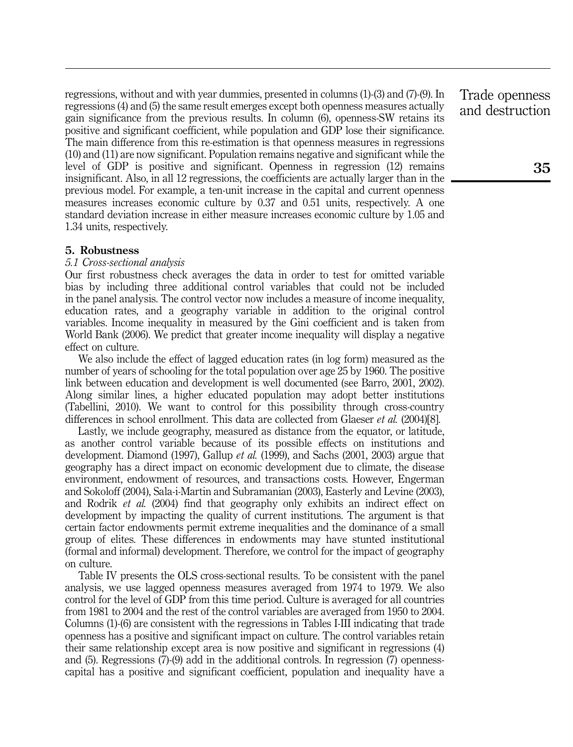regressions, without and with year dummies, presented in columns (1)-(3) and (7)-(9). In regressions (4) and (5) the same result emerges except both openness measures actually gain significance from the previous results. In column (6), openness-SW retains its positive and significant coefficient, while population and GDP lose their significance. The main difference from this re-estimation is that openness measures in regressions (10) and (11) are now significant. Population remains negative and significant while the level of GDP is positive and significant. Openness in regression (12) remains insignificant. Also, in all 12 regressions, the coefficients are actually larger than in the previous model. For example, a ten-unit increase in the capital and current openness measures increases economic culture by 0.37 and 0.51 units, respectively. A one standard deviation increase in either measure increases economic culture by 1.05 and 1.34 units, respectively.

# 5. Robustness

## 5.1 Cross-sectional analysis

Our first robustness check averages the data in order to test for omitted variable bias by including three additional control variables that could not be included in the panel analysis. The control vector now includes a measure of income inequality, education rates, and a geography variable in addition to the original control variables. Income inequality in measured by the Gini coefficient and is taken from World Bank (2006). We predict that greater income inequality will display a negative effect on culture.

We also include the effect of lagged education rates (in log form) measured as the number of years of schooling for the total population over age 25 by 1960. The positive link between education and development is well documented (see Barro, 2001, 2002). Along similar lines, a higher educated population may adopt better institutions (Tabellini, 2010). We want to control for this possibility through cross-country differences in school enrollment. This data are collected from Glaeser et al. (2004)[8].

Lastly, we include geography, measured as distance from the equator, or latitude, as another control variable because of its possible effects on institutions and development. Diamond (1997), Gallup et al. (1999), and Sachs (2001, 2003) argue that geography has a direct impact on economic development due to climate, the disease environment, endowment of resources, and transactions costs. However, Engerman and Sokoloff (2004), Sala-i-Martin and Subramanian (2003), Easterly and Levine (2003), and Rodrik et al. (2004) find that geography only exhibits an indirect effect on development by impacting the quality of current institutions. The argument is that certain factor endowments permit extreme inequalities and the dominance of a small group of elites. These differences in endowments may have stunted institutional (formal and informal) development. Therefore, we control for the impact of geography on culture.

Table IV presents the OLS cross-sectional results. To be consistent with the panel analysis, we use lagged openness measures averaged from 1974 to 1979. We also control for the level of GDP from this time period. Culture is averaged for all countries from 1981 to 2004 and the rest of the control variables are averaged from 1950 to 2004. Columns (1)-(6) are consistent with the regressions in Tables I-III indicating that trade openness has a positive and significant impact on culture. The control variables retain their same relationship except area is now positive and significant in regressions (4) and (5). Regressions (7)-(9) add in the additional controls. In regression (7) opennesscapital has a positive and significant coefficient, population and inequality have a

Trade openness and destruction

35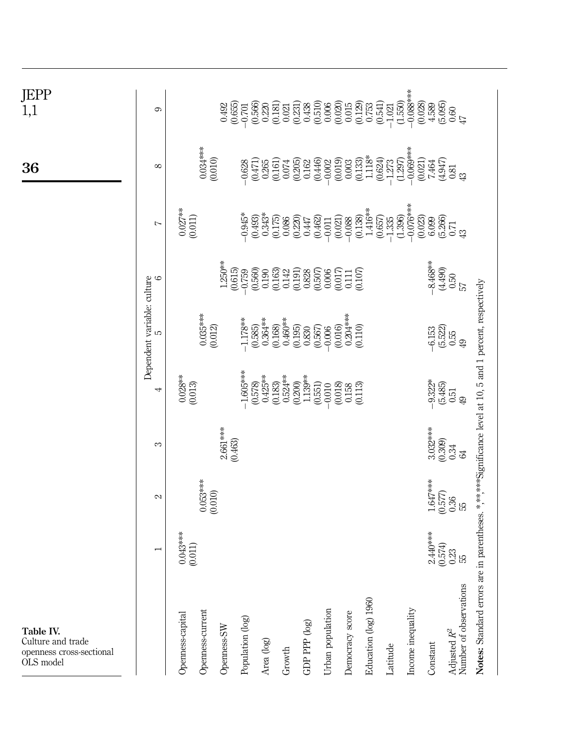| Table IV.<br>Culture and trade<br>openness cross-sectional<br>OLS model                                    |                       |                       |                       |                                    |                                              |                           |                                     | 36                                  | JEPP<br>1,1                      |
|------------------------------------------------------------------------------------------------------------|-----------------------|-----------------------|-----------------------|------------------------------------|----------------------------------------------|---------------------------|-------------------------------------|-------------------------------------|----------------------------------|
|                                                                                                            |                       | 2                     | S                     | 4                                  | Dependent variable: culture<br>5             | S                         | $\overline{ }$                      | $\infty$                            | 9                                |
| Openness-capital                                                                                           | 0.043***              |                       |                       | $0.028***$                         |                                              |                           | $0.027***$                          |                                     |                                  |
| Openness-current                                                                                           | (0.011)               | $0.053***$            |                       | (0.013)                            | $0.035***$                                   |                           | (0.011)                             | $0.034***$                          |                                  |
| Openness-SW                                                                                                |                       | (0.010)               | 2.661 ***<br>(0.463)  |                                    | (0.012)                                      | $1.250**$                 |                                     | (0.010)                             | (0.655)<br>0.492                 |
| Population (log)                                                                                           |                       |                       |                       | $-1.605***$                        | $-1.178**$                                   | (0.615)<br>$-0.759$       | $-0.945*$                           | 0.628                               | $-0.701$<br>$(0.566)$            |
| Area (log)                                                                                                 |                       |                       |                       | $0.425***$<br>(0.578)              | $0.364**$<br>(0.585)                         | (0.560)<br>0.190          | $0.343*$<br>(0.493)                 | (0.471)<br>0.265                    | 0.220                            |
| ${\rm Growth}$                                                                                             |                       |                       |                       | $0.524***$<br>(0.183)              | $0.460**$<br>(0.168)                         | (0.163)<br>0.142          | (0.175)<br>0.086                    | (0.161)<br>$0.074$<br>$(0.205)$     | (0.181)<br>0.021                 |
| GDP PPP (log)                                                                                              |                       |                       |                       | 1.139**<br>(0.200)                 | (0.195)<br>0.830                             | (0.191)<br>0.828          | (0.220)<br>0.447                    | 0.162                               | $\frac{0.438}{0.510}$<br>(0.231) |
| Urban population                                                                                           |                       |                       |                       | (0.551)<br>$-0.010$                | (0.567)<br>$-0.006$                          | (0.507)<br>0.006          | (0.462)<br>$-0.011$                 | (0.446)<br>$-0.002$                 | 0.006                            |
| Democracy score                                                                                            |                       |                       |                       | (0.018)<br>0.158                   | $0.204***$<br>(0.016)                        | (0.017)<br>0.111          | (0.021)<br>$-0.088$                 | (0.019)<br>0.003                    | (0.020)<br>0.015                 |
| Education (log) 1960                                                                                       |                       |                       |                       | (0.113)                            | (0.110)                                      | (0.107)                   | $1.416**$<br>(0.138)                | $1.118*$<br>(0.133)                 | (0.129)<br>0.753                 |
| Latitude                                                                                                   |                       |                       |                       |                                    |                                              |                           | $\frac{-1.335}{(1.396)}$<br>(0.657) | (0.624)<br>$\frac{-1.273}{(1.297)}$ | $-1.021$<br>$(1.550)$<br>(0.541) |
| Income inequality                                                                                          |                       |                       |                       |                                    |                                              |                           | $-0.076***$                         | $-0.069***$                         | $-0.088***$                      |
| Constant                                                                                                   | 2.440***              | 1.647****             | $3.032***$            | $-9.322*$                          | $-6.153$                                     | $-8.468***$               | (0.023)<br>6.099                    | (0.021)<br>7.464                    | (0.028)<br>4.589                 |
| Adjusted $R^2$<br>Number of observations                                                                   | (0.574)<br>0.23<br>B, | (0.577)<br>0.36<br>55 | (0.309)<br>0.34<br>S, | (5.485)<br>0.51<br>$\overline{49}$ | (5.522)<br>0.55<br>$\overline{\mathfrak{P}}$ | (4.490)<br>$0.50\,$<br>57 | (5.266)<br>0.71<br>43               | (4.947)<br>0.81<br>$\ddot{a}$       | (5.095)<br>0.60<br>47            |
| Notes: Standard errors are in parentheses. *,******Significance level at 10, 5 and 1 percent, respectively |                       |                       |                       |                                    |                                              |                           |                                     |                                     |                                  |
|                                                                                                            |                       |                       |                       |                                    |                                              |                           |                                     |                                     |                                  |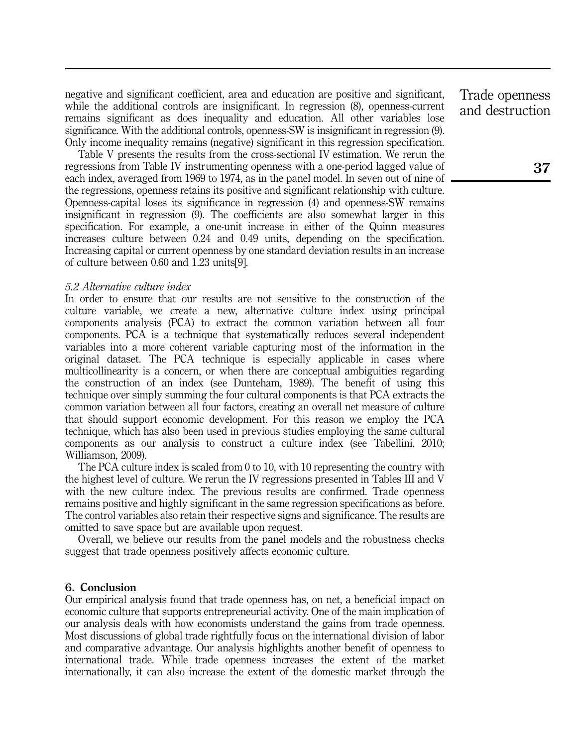negative and significant coefficient, area and education are positive and significant, while the additional controls are insignificant. In regression (8), openness-current remains significant as does inequality and education. All other variables lose significance. With the additional controls, openness-SW is insignificant in regression (9). Only income inequality remains (negative) significant in this regression specification.

Table V presents the results from the cross-sectional IV estimation. We rerun the regressions from Table IV instrumenting openness with a one-period lagged value of each index, averaged from 1969 to 1974, as in the panel model. In seven out of nine of the regressions, openness retains its positive and significant relationship with culture. Openness-capital loses its significance in regression (4) and openness-SW remains insignificant in regression (9). The coefficients are also somewhat larger in this specification. For example, a one-unit increase in either of the Quinn measures increases culture between 0.24 and 0.49 units, depending on the specification. Increasing capital or current openness by one standard deviation results in an increase of culture between 0.60 and 1.23 units[9].

## 5.2 Alternative culture index

In order to ensure that our results are not sensitive to the construction of the culture variable, we create a new, alternative culture index using principal components analysis (PCA) to extract the common variation between all four components. PCA is a technique that systematically reduces several independent variables into a more coherent variable capturing most of the information in the original dataset. The PCA technique is especially applicable in cases where multicollinearity is a concern, or when there are conceptual ambiguities regarding the construction of an index (see Dunteham, 1989). The benefit of using this technique over simply summing the four cultural components is that PCA extracts the common variation between all four factors, creating an overall net measure of culture that should support economic development. For this reason we employ the PCA technique, which has also been used in previous studies employing the same cultural components as our analysis to construct a culture index (see Tabellini, 2010; Williamson, 2009).

The PCA culture index is scaled from 0 to 10, with 10 representing the country with the highest level of culture. We rerun the IV regressions presented in Tables III and V with the new culture index. The previous results are confirmed. Trade openness remains positive and highly significant in the same regression specifications as before. The control variables also retain their respective signs and significance. The results are omitted to save space but are available upon request.

Overall, we believe our results from the panel models and the robustness checks suggest that trade openness positively affects economic culture.

# 6. Conclusion

Our empirical analysis found that trade openness has, on net, a beneficial impact on economic culture that supports entrepreneurial activity. One of the main implication of our analysis deals with how economists understand the gains from trade openness. Most discussions of global trade rightfully focus on the international division of labor and comparative advantage. Our analysis highlights another benefit of openness to international trade. While trade openness increases the extent of the market internationally, it can also increase the extent of the domestic market through the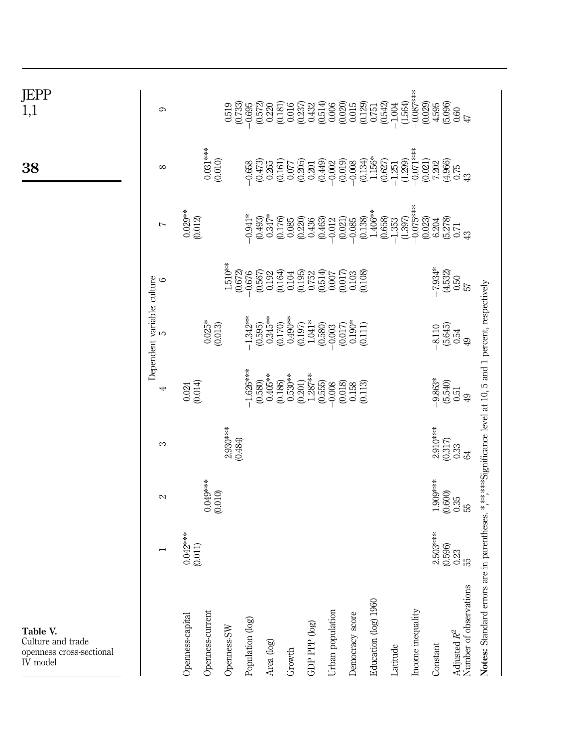| <b>JEPP</b><br>1,1                                                    | 6                                | $-0.087***$<br>$(0.020)$<br>$0.015$<br>(0.129)<br>(1.564)<br>(0.029)<br>(0.514)<br>(5.096)<br>(0.733)<br>(0.542)<br>(0.572)<br>(0.237)<br>4.595<br>0.519<br>(0.181)<br>0.016<br>0.432<br>0.006<br>$-0.695$<br>0.220<br>$-1.004$<br>0.751<br>0.60<br>47                                                    |
|-----------------------------------------------------------------------|----------------------------------|-----------------------------------------------------------------------------------------------------------------------------------------------------------------------------------------------------------------------------------------------------------------------------------------------------------|
| 38                                                                    | ${}^{\circ}$                     | $0.031***$<br>$-0.071***$<br>$1.156*$<br>(0.010)<br>(0.134)<br>(0.021)<br>(0.019)<br>(1.299)<br>(0.205)<br>(0.449)<br>(4.966)<br>(0.473)<br>(0.161)<br>(0.627)<br>$-0.008$<br>$-0.658$<br>$-0.002$<br>7.202<br>0.265<br>0.201<br>0.077<br>$-1.251$<br>0.75<br>$\ddot{3}$                                  |
|                                                                       | $\sim$                           | $-0.075***$<br>1.406**<br>0.029**<br>$-0.941*$<br>$0.347*$<br>(0.012)<br>(0.493)<br>$\frac{0.085}{0.220}$<br>(0.138)<br>(0.658)<br>(0.176)<br>(0.463)<br>(0.021)<br>(0.023)<br>(5.278)<br>$-1.353$<br>$(1.397)$<br>0.436<br>$-0.012$<br>$-0.085$<br>6.204<br>0.71<br>$\ddot{3}$                           |
|                                                                       | G                                | $1.510***$<br>$-7.934*$<br>$(4.532)$<br>$0.50$<br>(0.164)<br>(0.514)<br>(0.672)<br>(0.195)<br>(0.567)<br>(0.017)<br>(0.108)<br>$-0.676$<br>0.192<br>0.104<br>0.752<br>0.103<br>0.007<br>57                                                                                                                |
|                                                                       | Dependent variable: culture<br>5 | $(0.595)$<br>$0.345***$<br>$0.490**$<br>$-1.342***$<br>$0.025*$<br>$1.041*$<br>$0.190*$<br>(0.170)<br>(0.013)<br>(0.580)<br>(0.197)<br>(0.017)<br>(0.111)<br>(5.645)<br>$-0.003$<br>-8.110<br>0.54<br>$\overline{6}$                                                                                      |
|                                                                       | 4                                | in parentheses. *,***,****Significance level at 10, 5 and 1 percent, respectively<br>$-1.626***$<br>$1.287**$<br>$0.405***$<br>$0.530**$<br>$-9.863*$<br>(0.201)<br>(0.580)<br>(0.186)<br>(5.540)<br>(0.555)<br>(0.014)<br>(0.018)<br>(0.113)<br>$-0.008$<br>0.158<br>$0.024\,$<br>0.51<br>$\overline{6}$ |
|                                                                       | S                                | 2.930***<br>$2.910***$<br>(0.484)<br>(0.317)<br>0.33<br>S,                                                                                                                                                                                                                                                |
|                                                                       | $\mathcal{L}$                    | 0.049***<br>1.909***<br>(0.600)<br>(0.010)<br>0.35<br>55                                                                                                                                                                                                                                                  |
|                                                                       |                                  | $2.503***$<br>0.042****<br>(0.596)<br>(0.011)<br>0.23<br>55                                                                                                                                                                                                                                               |
| Table V.<br>Culture and trade<br>openness cross-sectional<br>IV model |                                  | Notes: Standard errors are<br>Number of observations<br>Education (log) 1960<br>Income inequality<br>Urban population<br>Openness-current<br>Democracy score<br>Openness-capital<br>Population (log)<br>GDP PPP (log)<br>Openness-SW<br>Adjusted $R^2$<br>Area (log)<br>Constant<br>Latitude<br>Growth    |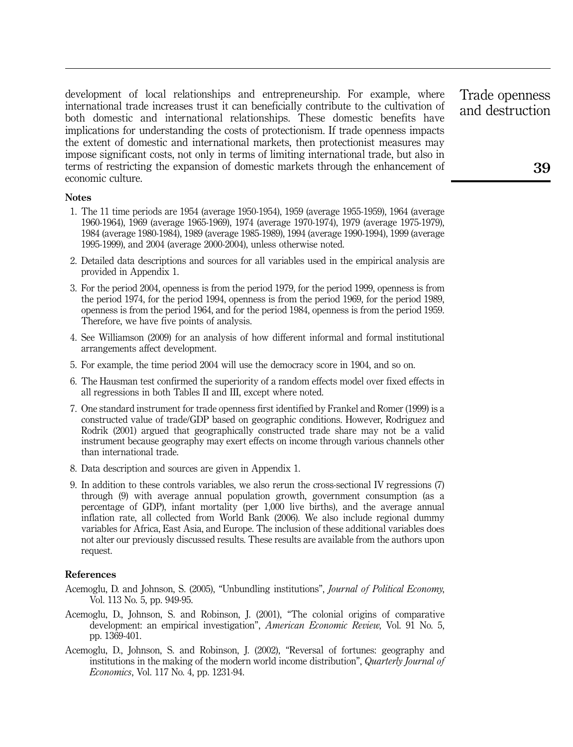development of local relationships and entrepreneurship. For example, where international trade increases trust it can beneficially contribute to the cultivation of both domestic and international relationships. These domestic benefits have implications for understanding the costs of protectionism. If trade openness impacts the extent of domestic and international markets, then protectionist measures may impose significant costs, not only in terms of limiting international trade, but also in terms of restricting the expansion of domestic markets through the enhancement of economic culture.

#### **Notes**

- 1. The 11 time periods are 1954 (average 1950-1954), 1959 (average 1955-1959), 1964 (average 1960-1964), 1969 (average 1965-1969), 1974 (average 1970-1974), 1979 (average 1975-1979), 1984 (average 1980-1984), 1989 (average 1985-1989), 1994 (average 1990-1994), 1999 (average 1995-1999), and 2004 (average 2000-2004), unless otherwise noted.
- 2. Detailed data descriptions and sources for all variables used in the empirical analysis are provided in Appendix 1.
- 3. For the period 2004, openness is from the period 1979, for the period 1999, openness is from the period 1974, for the period 1994, openness is from the period 1969, for the period 1989, openness is from the period 1964, and for the period 1984, openness is from the period 1959. Therefore, we have five points of analysis.
- 4. See Williamson (2009) for an analysis of how different informal and formal institutional arrangements affect development.
- 5. For example, the time period 2004 will use the democracy score in 1904, and so on.
- 6. The Hausman test confirmed the superiority of a random effects model over fixed effects in all regressions in both Tables II and III, except where noted.
- 7. One standard instrument for trade openness first identified by Frankel and Romer (1999) is a constructed value of trade/GDP based on geographic conditions. However, Rodriguez and Rodrik (2001) argued that geographically constructed trade share may not be a valid instrument because geography may exert effects on income through various channels other than international trade.
- 8. Data description and sources are given in Appendix 1.
- 9. In addition to these controls variables, we also rerun the cross-sectional IV regressions (7) through (9) with average annual population growth, government consumption (as a percentage of GDP), infant mortality (per 1,000 live births), and the average annual inflation rate, all collected from World Bank (2006). We also include regional dummy variables for Africa, East Asia, and Europe. The inclusion of these additional variables does not alter our previously discussed results. These results are available from the authors upon request.

#### References

- Acemoglu, D. and Johnson, S. (2005), "Unbundling institutions", Journal of Political Economy, Vol. 113 No. 5, pp. 949-95.
- Acemoglu, D., Johnson, S. and Robinson, J. (2001), "The colonial origins of comparative development: an empirical investigation", American Economic Review, Vol. 91 No. 5, pp. 1369-401.
- Acemoglu, D., Johnson, S. and Robinson, J. (2002), "Reversal of fortunes: geography and institutions in the making of the modern world income distribution", Quarterly Journal of Economics, Vol. 117 No. 4, pp. 1231-94.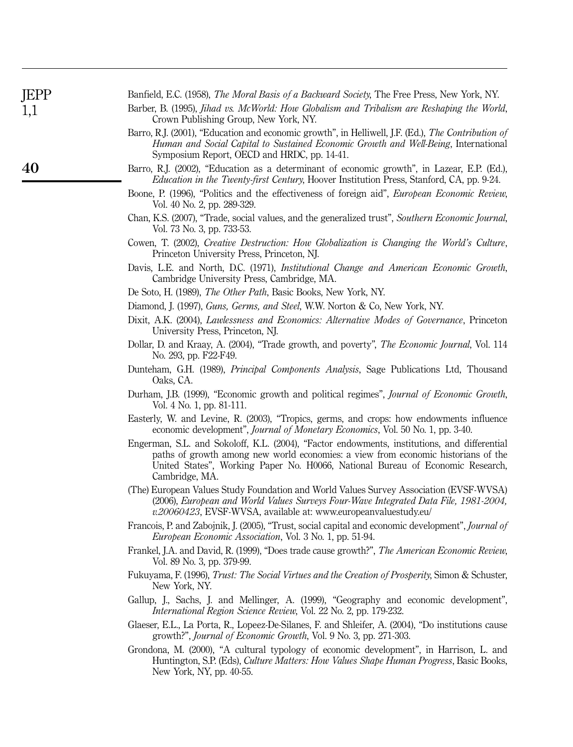| <b>IEPP</b> | Banfield, E.C. (1958), The Moral Basis of a Backward Society, The Free Press, New York, NY.                                                                                                                                                                                           |
|-------------|---------------------------------------------------------------------------------------------------------------------------------------------------------------------------------------------------------------------------------------------------------------------------------------|
| 1,1         | Barber, B. (1995), Jihad vs. McWorld: How Globalism and Tribalism are Reshaping the World,<br>Crown Publishing Group, New York, NY.                                                                                                                                                   |
|             | Barro, R.J. (2001), "Education and economic growth", in Helliwell, J.F. (Ed.), The Contribution of<br>Human and Social Capital to Sustained Economic Growth and Well-Being, International<br>Symposium Report, OECD and HRDC, pp. 14-41.                                              |
| 40          | Barro, R.J. (2002), "Education as a determinant of economic growth", in Lazear, E.P. (Ed.),<br>Education in the Twenty-first Century, Hoover Institution Press, Stanford, CA, pp. 9-24.                                                                                               |
|             | Boone, P. (1996), "Politics and the effectiveness of foreign aid", <i>European Economic Review</i> ,<br>Vol. 40 No. 2, pp. 289-329.                                                                                                                                                   |
|             | Chan, K.S. (2007), "Trade, social values, and the generalized trust", Southern Economic Journal,<br>Vol. 73 No. 3, pp. 733-53.                                                                                                                                                        |
|             | Cowen, T. (2002), Creative Destruction: How Globalization is Changing the World's Culture,<br>Princeton University Press, Princeton, NJ.                                                                                                                                              |
|             | Davis, L.E. and North, D.C. (1971), Institutional Change and American Economic Growth,<br>Cambridge University Press, Cambridge, MA.                                                                                                                                                  |
|             | De Soto, H. (1989), The Other Path, Basic Books, New York, NY.                                                                                                                                                                                                                        |
|             | Diamond, J. (1997), <i>Guns, Germs, and Steel</i> , W.W. Norton & Co, New York, NY.                                                                                                                                                                                                   |
|             | Dixit, A.K. (2004), Lawlessness and Economics: Alternative Modes of Governance, Princeton<br>University Press, Princeton, NJ.                                                                                                                                                         |
|             | Dollar, D. and Kraay, A. (2004), "Trade growth, and poverty", The Economic Journal, Vol. 114<br>No. 293, pp. F22-F49.                                                                                                                                                                 |
|             | Dunteham, G.H. (1989), <i>Principal Components Analysis</i> , Sage Publications Ltd, Thousand<br>Oaks, CA.                                                                                                                                                                            |
|             | Durham, J.B. (1999), "Economic growth and political regimes", <i>Journal of Economic Growth</i> ,<br>Vol. 4 No. 1, pp. 81-111.                                                                                                                                                        |
|             | Easterly, W. and Levine, R. (2003), "Tropics, germs, and crops: how endowments influence<br>economic development", <i>Journal of Monetary Economics</i> , Vol. 50 No. 1, pp. 3-40.                                                                                                    |
|             | Engerman, S.L. and Sokoloff, K.L. (2004), "Factor endowments, institutions, and differential<br>paths of growth among new world economies: a view from economic historians of the<br>United States", Working Paper No. H0066, National Bureau of Economic Research,<br>Cambridge, MA. |
|             | (The) European Values Study Foundation and World Values Survey Association (EVSF-WVSA)<br>(2006), European and World Values Surveys Four-Wave Integrated Data File, 1981-2004,<br>v.20060423, EVSF-WVSA, available at: www.europeanvaluestudy.eu/                                     |
|             | Francois, P. and Zabojnik, J. (2005), "Trust, social capital and economic development", Journal of<br><i>European Economic Association, Vol. 3 No. 1, pp. 51-94.</i>                                                                                                                  |
|             | Frankel, J.A. and David, R. (1999), "Does trade cause growth?", The American Economic Review,<br>Vol. 89 No. 3, pp. 379-99.                                                                                                                                                           |
|             | Fukuyama, F. (1996), Trust: The Social Virtues and the Creation of Prosperity, Simon & Schuster,<br>New York, NY.                                                                                                                                                                     |
|             | Gallup, J., Sachs, J. and Mellinger, A. (1999), "Geography and economic development",<br>International Region Science Review, Vol. 22 No. 2, pp. 179-232.                                                                                                                             |
|             | Glaeser, E.L., La Porta, R., Lopeez-De-Silanes, F. and Shleifer, A. (2004), "Do institutions cause<br>growth?", Journal of Economic Growth, Vol. 9 No. 3, pp. 271-303.                                                                                                                |
|             | Grondona, M. (2000), "A cultural typology of economic development", in Harrison, L. and<br>Huntington, S.P. (Eds), <i>Culture Matters: How Values Shape Human Progress</i> , Basic Books,<br>New York, NY, pp. 40-55.                                                                 |
|             |                                                                                                                                                                                                                                                                                       |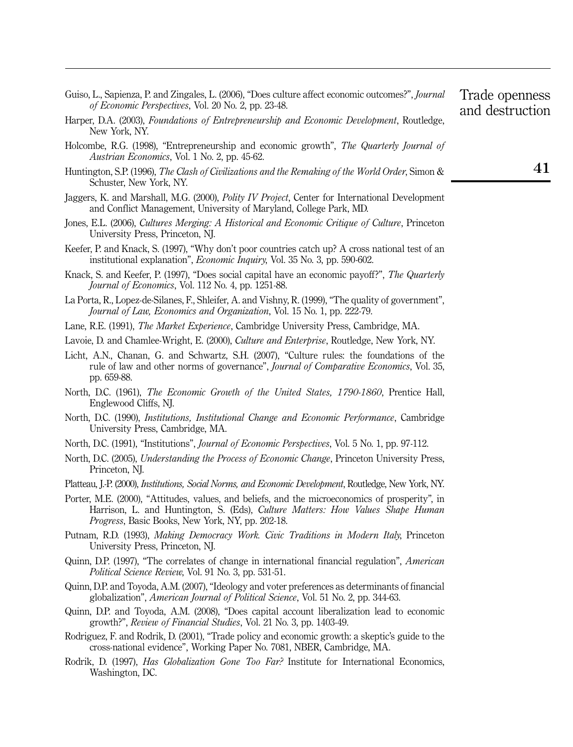| Guiso, L., Sapienza, P. and Zingales, L. (2006), "Does culture affect economic outcomes?", <i>Journal</i> | Trade openness  |
|-----------------------------------------------------------------------------------------------------------|-----------------|
| <i>of Economic Perspectives, Vol. 20 No. 2, pp. 23-48.</i>                                                | and destruction |

- Harper, D.A. (2003), Foundations of Entrepreneurship and Economic Development, Routledge, New York, NY.
- Holcombe, R.G. (1998), "Entrepreneurship and economic growth", The Quarterly Journal of Austrian Economics, Vol. 1 No. 2, pp. 45-62.
- Huntington, S.P. (1996), The Clash of Civilizations and the Remaking of the World Order, Simon & Schuster, New York, NY.
- Jaggers, K. and Marshall, M.G. (2000), Polity IV Project, Center for International Development and Conflict Management, University of Maryland, College Park, MD.
- Jones, E.L. (2006), Cultures Merging: A Historical and Economic Critique of Culture, Princeton University Press, Princeton, NJ.
- Keefer, P. and Knack, S. (1997), "Why don't poor countries catch up? A cross national test of an institutional explanation", Economic Inquiry, Vol. 35 No. 3, pp. 590-602.
- Knack, S. and Keefer, P. (1997), "Does social capital have an economic payoff?", The Quarterly Journal of Economics, Vol. 112 No. 4, pp. 1251-88.
- La Porta, R., Lopez-de-Silanes, F., Shleifer, A. and Vishny, R. (1999), "The quality of government", Journal of Law, Economics and Organization, Vol. 15 No. 1, pp. 222-79.
- Lane, R.E. (1991), The Market Experience, Cambridge University Press, Cambridge, MA.
- Lavoie, D. and Chamlee-Wright, E. (2000), Culture and Enterprise, Routledge, New York, NY.
- Licht, A.N., Chanan, G. and Schwartz, S.H. (2007), "Culture rules: the foundations of the rule of law and other norms of governance", Journal of Comparative Economics, Vol. 35, pp. 659-88.
- North, D.C. (1961), The Economic Growth of the United States, 1790-1860, Prentice Hall, Englewood Cliffs, NJ.
- North, D.C. (1990), Institutions, Institutional Change and Economic Performance, Cambridge University Press, Cambridge, MA.
- North, D.C. (1991), "Institutions", *Journal of Economic Perspectives*, Vol. 5 No. 1, pp. 97-112.
- North, D.C. (2005), Understanding the Process of Economic Change, Princeton University Press, Princeton, NJ.
- Platteau, J.-P. (2000), *Institutions, Social Norms, and Economic Development*, Routledge, New York, NY.
- Porter, M.E. (2000), "Attitudes, values, and beliefs, and the microeconomics of prosperity", in Harrison, L. and Huntington, S. (Eds), Culture Matters: How Values Shape Human Progress, Basic Books, New York, NY, pp. 202-18.
- Putnam, R.D. (1993), Making Democracy Work. Civic Traditions in Modern Italy, Princeton University Press, Princeton, NJ.
- Quinn, D.P. (1997), "The correlates of change in international financial regulation", American Political Science Review, Vol. 91 No. 3, pp. 531-51.
- Quinn, D.P. and Toyoda, A.M. (2007), "Ideology and voter preferences as determinants of financial globalization", American Journal of Political Science, Vol. 51 No. 2, pp. 344-63.
- Quinn, D.P. and Toyoda, A.M. (2008), "Does capital account liberalization lead to economic growth?", Review of Financial Studies, Vol. 21 No. 3, pp. 1403-49.
- Rodriguez, F. and Rodrik, D. (2001), "Trade policy and economic growth: a skeptic's guide to the cross-national evidence", Working Paper No. 7081, NBER, Cambridge, MA.
- Rodrik, D. (1997), *Has Globalization Gone Too Far?* Institute for International Economics, Washington, DC.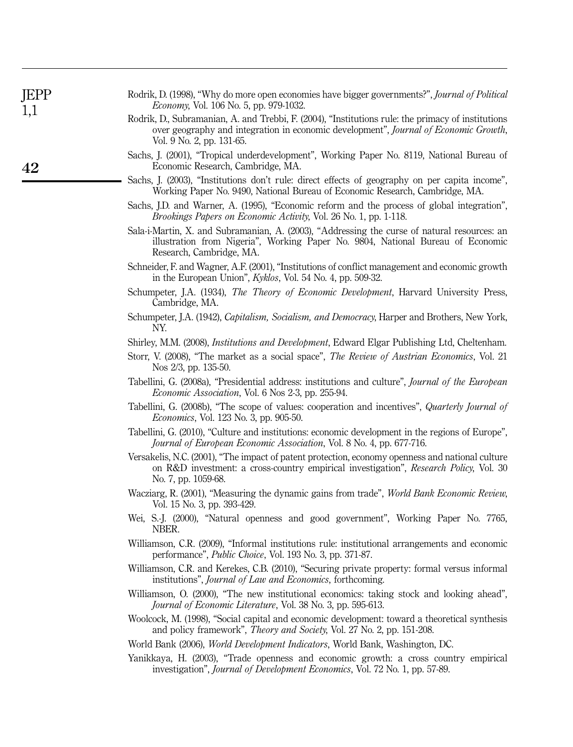| JEPP | Rodrik, D. (1998), "Why do more open economies have bigger governments?", Journal of Political<br><i>Economy</i> , Vol. 106 No. 5, pp. 979-1032.                                                                                |
|------|---------------------------------------------------------------------------------------------------------------------------------------------------------------------------------------------------------------------------------|
| 1,1  | Rodrik, D., Subramanian, A. and Trebbi, F. (2004), "Institutions rule: the primacy of institutions<br>over geography and integration in economic development", <i>Journal of Economic Growth</i> ,<br>Vol. 9 No. 2, pp. 131-65. |
| 42   | Sachs, J. (2001), "Tropical underdevelopment", Working Paper No. 8119, National Bureau of<br>Economic Research, Cambridge, MA.                                                                                                  |
|      | Sachs, J. (2003), "Institutions don't rule: direct effects of geography on per capita income",<br>Working Paper No. 9490, National Bureau of Economic Research, Cambridge, MA.                                                  |
|      | Sachs, J.D. and Warner, A. (1995), "Economic reform and the process of global integration",<br>Brookings Papers on Economic Activity, Vol. 26 No. 1, pp. 1-118.                                                                 |
|      | Sala-i-Martin, X. and Subramanian, A. (2003), "Addressing the curse of natural resources: an<br>illustration from Nigeria", Working Paper No. 9804, National Bureau of Economic<br>Research, Cambridge, MA.                     |
|      | Schneider, F. and Wagner, A.F. (2001), "Institutions of conflict management and economic growth<br>in the European Union", Kyklos, Vol. 54 No. 4, pp. 509-32.                                                                   |
|      | Schumpeter, J.A. (1934), The Theory of Economic Development, Harvard University Press,<br>Cambridge, MA.                                                                                                                        |
|      | Schumpeter, J.A. (1942), <i>Capitalism, Socialism, and Democracy</i> , Harper and Brothers, New York,<br>NY.                                                                                                                    |
|      | Shirley, M.M. (2008), Institutions and Development, Edward Elgar Publishing Ltd, Cheltenham.                                                                                                                                    |
|      | Storr, V. (2008), "The market as a social space", <i>The Review of Austrian Economics</i> , Vol. 21<br>Nos 2/3, pp. 135-50.                                                                                                     |
|      | Tabellini, G. (2008a), "Presidential address: institutions and culture", Journal of the European<br>Economic Association, Vol. 6 Nos 2-3, pp. 255-94.                                                                           |
|      | Tabellini, G. (2008b), "The scope of values: cooperation and incentives", Quarterly Journal of<br>Economics, Vol. 123 No. 3, pp. 905-50.                                                                                        |
|      | Tabellini, G. (2010), "Culture and institutions: economic development in the regions of Europe",<br>Journal of European Economic Association, Vol. 8 No. 4, pp. 677-716.                                                        |
|      | Versakelis, N.C. (2001), "The impact of patent protection, economy openness and national culture<br>on R&D investment: a cross-country empirical investigation", Research Policy, Vol. 30<br>No. 7, pp. 1059-68.                |
|      | Wacziarg, R. (2001), "Measuring the dynamic gains from trade", World Bank Economic Review,<br>Vol. 15 No. 3, pp. 393-429.                                                                                                       |
|      | Wei, S.-J. (2000), "Natural openness and good government", Working Paper No. 7765,<br>NBER.                                                                                                                                     |
|      | Williamson, C.R. (2009), "Informal institutions rule: institutional arrangements and economic<br>performance", Public Choice, Vol. 193 No. 3, pp. 371-87.                                                                       |
|      | Williamson, C.R. and Kerekes, C.B. (2010), "Securing private property: formal versus informal<br>institutions", Journal of Law and Economics, forthcoming.                                                                      |
|      | Williamson, O. (2000), "The new institutional economics: taking stock and looking ahead",<br>Journal of Economic Literature, Vol. 38 No. 3, pp. 595-613.                                                                        |
|      | Woolcock, M. (1998), "Social capital and economic development: toward a theoretical synthesis<br>and policy framework", Theory and Society, Vol. 27 No. 2, pp. 151-208.                                                         |
|      | World Bank (2006), <i>World Development Indicators</i> , World Bank, Washington, DC.                                                                                                                                            |
|      | Yanikkaya, H. (2003), "Trade openness and economic growth: a cross country empirical<br>investigation", <i>Journal of Development Economics</i> , Vol. 72 No. 1, pp. 57-89.                                                     |
|      |                                                                                                                                                                                                                                 |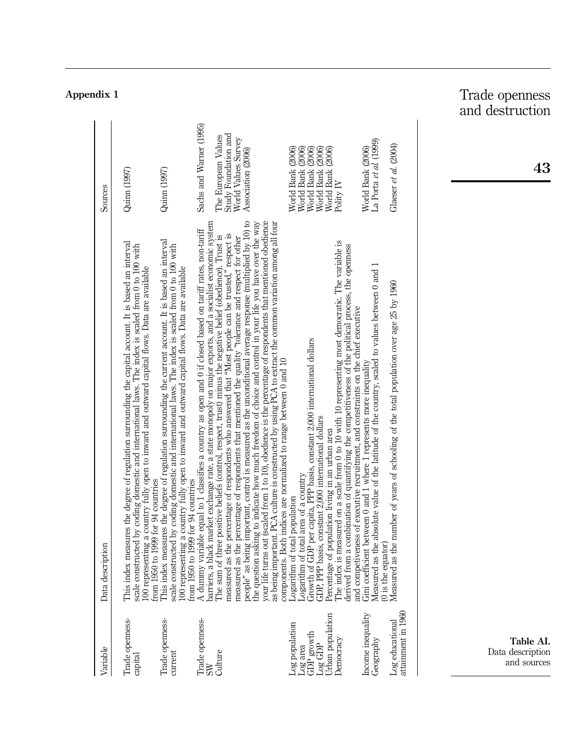| Variable                                                                              | Data description                                                                                                                                                                                                                                                                                                                                                                                                                                                                                                                                                                                                                                                                                                                                                                            | Sources                                                                                                            | pendix 1                          |
|---------------------------------------------------------------------------------------|---------------------------------------------------------------------------------------------------------------------------------------------------------------------------------------------------------------------------------------------------------------------------------------------------------------------------------------------------------------------------------------------------------------------------------------------------------------------------------------------------------------------------------------------------------------------------------------------------------------------------------------------------------------------------------------------------------------------------------------------------------------------------------------------|--------------------------------------------------------------------------------------------------------------------|-----------------------------------|
| Trade openness-<br>capital                                                            | This index measures the degree of regulation surrounding the capital account. It is based an interval<br>scale constructed by coding domestic and international laws. The index is scaled from 0 to 100 with<br>100 representing a country fully open to inward and outward capital flows. Data are available                                                                                                                                                                                                                                                                                                                                                                                                                                                                               | Quinn (1997)                                                                                                       |                                   |
| Trade openness-<br>current                                                            | from 1950 to 1999 for 94 countries<br>This index measures the degree of regulation surrounding the current account. It is based an interval<br>scale constructed by coding domestic and international laws. The index is scaled from 0 to 100 with<br>100 representing a country fully open to inward and outward capital flows. Data are available                                                                                                                                                                                                                                                                                                                                                                                                                                         | Quinn (1997)                                                                                                       |                                   |
| Trade openness-<br>SW                                                                 | barriers, a black market exchange rate, a state monopoly on major exports, and a socialist economic system<br>A dummy variable equal to 1 classifies a country as open and 0 if closed based on tariff rates, non-tariff<br>from 1950 to 1999 for 94 countries                                                                                                                                                                                                                                                                                                                                                                                                                                                                                                                              | Sachs and Warner (1995)                                                                                            |                                   |
| Culture                                                                               | as being important, control is measured as the unconditional average response (multiplied by 10) to<br>your life turns out (scaled from 1 to 10), obedience is the percentage of respondents that mentioned obedience<br>the question asking to indicate how much freedom of choice and control in your life you have over the way<br>as being important. PCA culture is constructed by using PCA to extract the common variation among all four<br>measured as the percentage of respondents who answered that "Most people can be trusted," respect is<br>The sum of three positive beliefs (control, respect, trust) minus the negative belief (obedience). Trust is<br>measured as the percentage of respondents that mentioned the quality "tolerance and respect for other<br>people" | Study Foundation and<br>The European Values<br>World Values Survey<br>Association (2006)                           |                                   |
| Jrban population<br>og population<br>$GDP$ growth<br>Democracy<br>Log GDP<br>Log area | ex is measured on a scale from 0 to 10 with 10 representing most democratic. The variable is<br>Logarithm of total area of a country<br>Growth of GDP per capita, PPP basis, constant 2,000 international dollars<br>GDP, PPP basis, constant 2,000 international dollars<br>components. Both indices are normalized to range between 0 and 10 Logarithm of total population<br>Percentage of population living in an urban area<br>The inde                                                                                                                                                                                                                                                                                                                                                | World Bank (2006)<br>World Bank (2006)<br>World Bank (2006)<br>World Bank (2006)<br>World Bank (2006)<br>Polity IV |                                   |
| Income inequality<br>Geography                                                        | derived from a combination of quantifying the competitiveness of the political process, the openness<br>Measured as the absolute value of the latitude of the country, scaled to values between 0 and 1<br>and competiveness of executive recruitment, and constraints on the chief executive<br>Gini coefficient between 0 and 1 where 1 represents more inequality                                                                                                                                                                                                                                                                                                                                                                                                                        | La Porta et al. (1999)<br>World Bank (2006)                                                                        |                                   |
| attainment in 1960<br>Log educational                                                 | () is the equator)<br>Measured as the number of years of schooling of the total population over age 25 by 1960                                                                                                                                                                                                                                                                                                                                                                                                                                                                                                                                                                                                                                                                              | Glaeser et al. $(2004)$                                                                                            |                                   |
|                                                                                       |                                                                                                                                                                                                                                                                                                                                                                                                                                                                                                                                                                                                                                                                                                                                                                                             |                                                                                                                    |                                   |
| Data description                                                                      |                                                                                                                                                                                                                                                                                                                                                                                                                                                                                                                                                                                                                                                                                                                                                                                             |                                                                                                                    | Trade openness<br>and destruction |
| Table AI.<br>and sources                                                              |                                                                                                                                                                                                                                                                                                                                                                                                                                                                                                                                                                                                                                                                                                                                                                                             | 43                                                                                                                 |                                   |

# $Ap$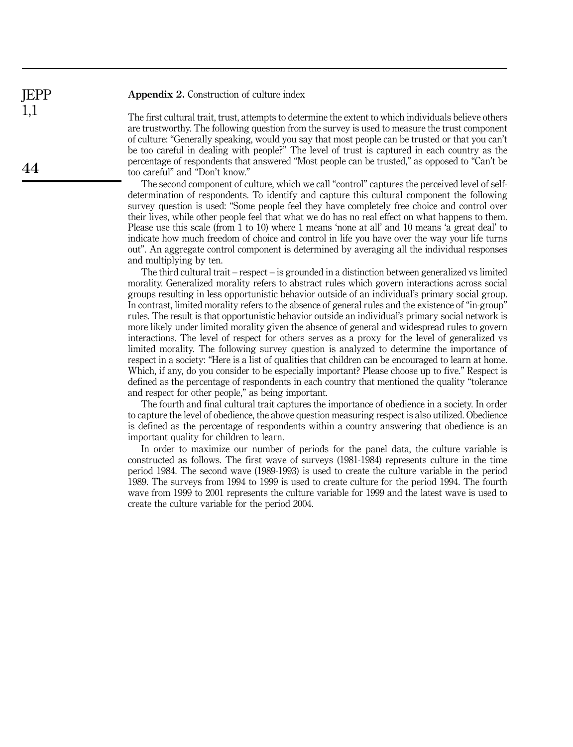| <b>IEPP</b> | <b>Appendix 2.</b> Construction of culture index                                                                                                      |
|-------------|-------------------------------------------------------------------------------------------------------------------------------------------------------|
| 1,1         | The first cultural trait, trust, attempts to detern<br>are trustworthy. The following question from t<br>of outure: "Conorally apoaling would you go: |

44

the first cultural traits cultural traits to determine the extent to which individuals believe others the survey is used to measure the trust component of culture: "Generally speaking, would you say that most people can be trusted or that you can't be too careful in dealing with people?" The level of trust is captured in each country as the percentage of respondents that answered "Most people can be trusted," as opposed to "Can't be too careful" and "Don't know."

The second component of culture, which we call "control" captures the perceived level of selfdetermination of respondents. To identify and capture this cultural component the following survey question is used: "Some people feel they have completely free choice and control over their lives, while other people feel that what we do has no real effect on what happens to them. Please use this scale (from 1 to 10) where 1 means 'none at all' and 10 means 'a great deal' to indicate how much freedom of choice and control in life you have over the way your life turns out". An aggregate control component is determined by averaging all the individual responses and multiplying by ten.

The third cultural trait – respect – is grounded in a distinction between generalized vs limited morality. Generalized morality refers to abstract rules which govern interactions across social groups resulting in less opportunistic behavior outside of an individual's primary social group. In contrast, limited morality refers to the absence of general rules and the existence of "in-group" rules. The result is that opportunistic behavior outside an individual's primary social network is more likely under limited morality given the absence of general and widespread rules to govern interactions. The level of respect for others serves as a proxy for the level of generalized vs limited morality. The following survey question is analyzed to determine the importance of respect in a society: "Here is a list of qualities that children can be encouraged to learn at home. Which, if any, do you consider to be especially important? Please choose up to five." Respect is defined as the percentage of respondents in each country that mentioned the quality "tolerance and respect for other people," as being important.

The fourth and final cultural trait captures the importance of obedience in a society. In order to capture the level of obedience, the above question measuring respect is also utilized. Obedience is defined as the percentage of respondents within a country answering that obedience is an important quality for children to learn.

In order to maximize our number of periods for the panel data, the culture variable is constructed as follows. The first wave of surveys (1981-1984) represents culture in the time period 1984. The second wave (1989-1993) is used to create the culture variable in the period 1989. The surveys from 1994 to 1999 is used to create culture for the period 1994. The fourth wave from 1999 to 2001 represents the culture variable for 1999 and the latest wave is used to create the culture variable for the period 2004.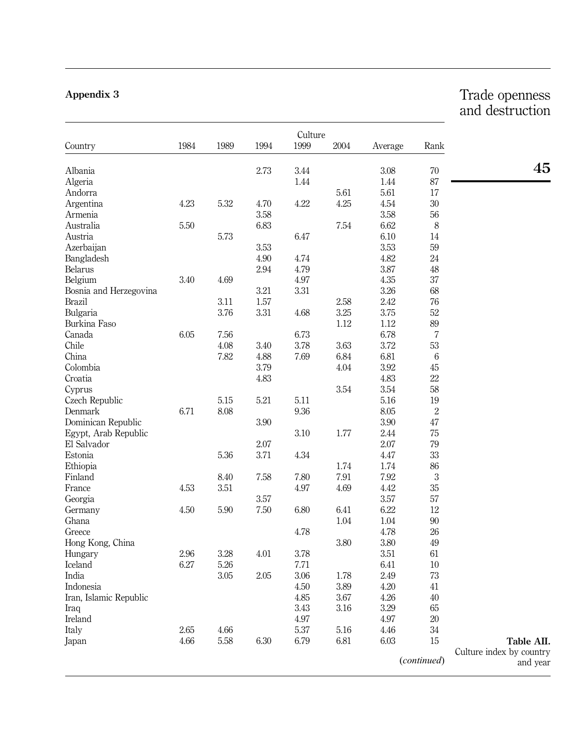# Appendix 3

|                        |      |      |      | Culture |      |         |                |                          |
|------------------------|------|------|------|---------|------|---------|----------------|--------------------------|
| Country                | 1984 | 1989 | 1994 | 1999    | 2004 | Average | Rank           |                          |
| Albania                |      |      | 2.73 | 3.44    |      | 3.08    | 70             | 45                       |
| Algeria                |      |      |      | 1.44    |      | 1.44    | 87             |                          |
| Andorra                |      |      |      |         | 5.61 | 5.61    | 17             |                          |
| Argentina              | 4.23 | 5.32 | 4.70 | 4.22    | 4.25 | 4.54    | 30             |                          |
| Armenia                |      |      | 3.58 |         |      | 3.58    | 56             |                          |
| Australia              | 5.50 |      | 6.83 |         | 7.54 | 6.62    | 8              |                          |
| Austria                |      | 5.73 |      | 6.47    |      | 6.10    | 14             |                          |
| Azerbaijan             |      |      | 3.53 |         |      | 3.53    | 59             |                          |
| Bangladesh             |      |      | 4.90 | 4.74    |      | 4.82    | 24             |                          |
| Belarus                |      |      | 2.94 | 4.79    |      | 3.87    | 48             |                          |
| Belgium                | 3.40 | 4.69 |      | 4.97    |      | 4.35    | 37             |                          |
| Bosnia and Herzegovina |      |      | 3.21 | 3.31    |      | 3.26    | 68             |                          |
| <b>Brazil</b>          |      | 3.11 | 1.57 |         | 2.58 | 2.42    | 76             |                          |
| Bulgaria               |      | 3.76 | 3.31 |         | 3.25 | 3.75    | 52             |                          |
|                        |      |      |      | 4.68    |      |         |                |                          |
| Burkina Faso           |      |      |      |         | 1.12 | 1.12    | 89             |                          |
| Canada                 | 6.05 | 7.56 |      | 6.73    |      | 6.78    | 7              |                          |
| Chile                  |      | 4.08 | 3.40 | 3.78    | 3.63 | 3.72    | 53             |                          |
| China                  |      | 7.82 | 4.88 | 7.69    | 6.84 | 6.81    | 6              |                          |
| Colombia               |      |      | 3.79 |         | 4.04 | 3.92    | 45             |                          |
| Croatia                |      |      | 4.83 |         |      | 4.83    | 22             |                          |
| Cyprus                 |      |      |      |         | 3.54 | 3.54    | 58             |                          |
| Czech Republic         |      | 5.15 | 5.21 | 5.11    |      | 5.16    | 19             |                          |
| Denmark                | 6.71 | 8.08 |      | 9.36    |      | 8.05    | $\overline{2}$ |                          |
| Dominican Republic     |      |      | 3.90 |         |      | 3.90    | 47             |                          |
| Egypt, Arab Republic   |      |      |      | 3.10    | 1.77 | 2.44    | 75             |                          |
| El Salvador            |      |      | 2.07 |         |      | 2.07    | 79             |                          |
| Estonia                |      | 5.36 | 3.71 | 4.34    |      | 4.47    | 33             |                          |
| Ethiopia               |      |      |      |         | 1.74 | 1.74    | 86             |                          |
| Finland                |      | 8.40 | 7.58 | 7.80    | 7.91 | 7.92    | $\sqrt{3}$     |                          |
| France                 | 4.53 | 3.51 |      | 4.97    | 4.69 | 4.42    | 35             |                          |
| Georgia                |      |      | 3.57 |         |      | 3.57    | 57             |                          |
| Germany                | 4.50 | 5.90 | 7.50 | 6.80    | 6.41 | 6.22    | 12             |                          |
| Ghana                  |      |      |      |         | 1.04 | 1.04    | 90             |                          |
| Greece                 |      |      |      | 4.78    |      | 4.78    | 26             |                          |
| Hong Kong, China       |      |      |      |         | 3.80 | 3.80    | 49             |                          |
| Hungary                | 2.96 | 3.28 | 4.01 | 3.78    |      | 3.51    | 61             |                          |
| Iceland                | 6.27 | 5.26 |      | 7.71    |      | 6.41    | 10             |                          |
| India                  |      | 3.05 | 2.05 | 3.06    | 1.78 | 2.49    | 73             |                          |
| Indonesia              |      |      |      | 4.50    | 3.89 | 4.20    | 41             |                          |
| Iran, Islamic Republic |      |      |      | 4.85    | 3.67 | 4.26    | 40             |                          |
| Iraq                   |      |      |      | 3.43    | 3.16 | 3.29    | 65             |                          |
| Ireland                |      |      |      | 4.97    |      | 4.97    | 20             |                          |
| Italy                  | 2.65 | 4.66 |      | 5.37    | 5.16 | 4.46    | 34             |                          |
| Japan                  | 4.66 | 5.58 | 6.30 | 6.79    | 6.81 | 6.03    | 15             | Table AII.               |
|                        |      |      |      |         |      |         |                | Culture index by country |
|                        |      |      |      |         |      |         | (continued)    | and year                 |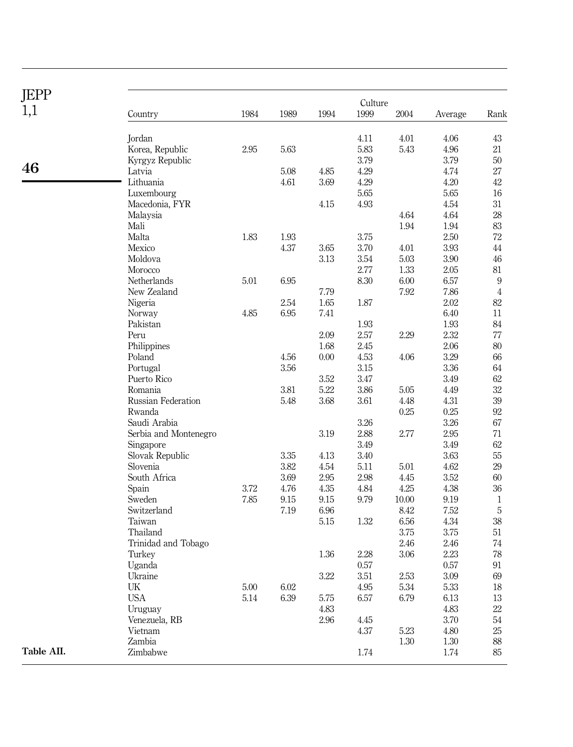| <b>IEPP</b> |                       |      |              |              | Culture      |              |              |                |
|-------------|-----------------------|------|--------------|--------------|--------------|--------------|--------------|----------------|
| 1,1         | Country               | 1984 | 1989         | 1994         | 1999         | 2004         | Average      | Rank           |
|             | Jordan                |      |              |              | 4.11         | 4.01         | 4.06         | 43             |
|             | Korea, Republic       | 2.95 | 5.63         |              | 5.83         | 5.43         | 4.96         | 21             |
|             | Kyrgyz Republic       |      |              |              | 3.79         |              | 3.79         | 50             |
| 46          | Latvia                |      | 5.08         | 4.85         | 4.29         |              | 4.74         | $27\,$         |
|             | Lithuania             |      | 4.61         | 3.69         | 4.29         |              | 4.20         | 42             |
|             | Luxembourg            |      |              |              | 5.65         |              | 5.65         | 16             |
|             | Macedonia, FYR        |      |              | 4.15         | 4.93         |              | 4.54         | 31             |
|             | Malaysia              |      |              |              |              | 4.64         | 4.64         | $28\,$         |
|             | Mali                  |      |              |              |              | 1.94         | 1.94         | 83             |
|             | Malta                 | 1.83 | 1.93         |              | 3.75         |              | 2.50         | 72             |
|             | Mexico                |      | 4.37         | 3.65         | 3.70         | 4.01         | 3.93         | 44             |
|             | Moldova               |      |              | 3.13         | 3.54         | 5.03         | 3.90         | 46             |
|             | Morocco               |      |              |              | 2.77         | 1.33         | 2.05         | 81             |
|             | Netherlands           | 5.01 | 6.95         |              | 8.30         | $6.00\,$     | 6.57         | 9              |
|             | New Zealand           |      |              | 7.79         |              | 7.92         | 7.86         | $\overline{4}$ |
|             | Nigeria               |      | 2.54         | 1.65         | 1.87         |              | 2.02         | 82             |
|             | Norway                | 4.85 | 6.95         | 7.41         |              |              | 6.40         | 11             |
|             | Pakistan              |      |              |              | 1.93         |              | 1.93         | 84             |
|             | Peru                  |      |              | 2.09         | 2.57         | 2.29         | 2.32         | 77             |
|             | Philippines           |      |              | 1.68         | 2.45         |              | 2.06         | 80             |
|             | Poland                |      | 4.56         | 0.00         | 4.53         | 4.06         | 3.29         | 66             |
|             | Portugal              |      | 3.56         |              | 3.15         |              | 3.36         | 64             |
|             | Puerto Rico           |      |              | 3.52         | 3.47         |              | 3.49         | 62             |
|             | Romania               |      | 3.81         | 5.22         | 3.86         | 5.05         | 4.49         | $32\,$         |
|             | Russian Federation    |      | 5.48         | 3.68         | 3.61         | 4.48         | 4.31         | $39\,$         |
|             | Rwanda                |      |              |              |              | 0.25         | 0.25         | 92             |
|             | Saudi Arabia          |      |              |              | 3.26         |              | 3.26         | 67             |
|             | Serbia and Montenegro |      |              | 3.19         | 2.88         | 2.77         | 2.95         | 71             |
|             | Singapore             |      |              |              | 3.49         |              | 3.49         | $62\,$         |
|             | Slovak Republic       |      | 3.35         | 4.13         | 3.40         |              | 3.63         | 55             |
|             | Slovenia              |      | 3.82<br>3.69 | 4.54         | 5.11<br>2.98 | 5.01         | 4.62         | 29<br>60       |
|             | South Africa          | 3.72 |              | 2.95<br>4.35 | 4.84         | 4.45<br>4.25 | 3.52<br>4.38 |                |
|             | Spain<br>Sweden       | 7.85 | 4.76<br>9.15 | 9.15         | 9.79         | 10.00        | 9.19         | 36<br>1        |
|             | Switzerland           |      | 7.19         | 6.96         |              | 8.42         | 7.52         | $\mathbf 5$    |
|             | Taiwan                |      |              | 5.15         | 1.32         | 6.56         | 4.34         | $38\,$         |
|             | Thailand              |      |              |              |              | 3.75         | 3.75         | 51             |
|             | Trinidad and Tobago   |      |              |              |              | 2.46         | 2.46         | 74             |
|             | Turkey                |      |              | 1.36         | 2.28         | 3.06         | 2.23         | $78\,$         |
|             | Uganda                |      |              |              | 0.57         |              | 0.57         | 91             |
|             | Ukraine               |      |              | $3.22\,$     | $3.51\,$     | $2.53\,$     | 3.09         | 69             |
|             | ${\rm UK}$            | 5.00 | 6.02         |              | $4.95\,$     | 5.34         | 5.33         | 18             |
|             | <b>USA</b>            | 5.14 | 6.39         | $5.75\,$     | 6.57         | 6.79         | 6.13         | 13             |
|             | Uruguay               |      |              | 4.83         |              |              | 4.83         | 22             |
|             | Venezuela, RB         |      |              | 2.96         | 4.45         |              | 3.70         | $54\,$         |
|             | Vietnam               |      |              |              | 4.37         | 5.23         | 4.80         | 25             |
|             | Zambia                |      |              |              |              | 1.30         | $1.30\,$     | 88             |
| Table AII.  | Zimbabwe              |      |              |              | 1.74         |              | 1.74         | 85             |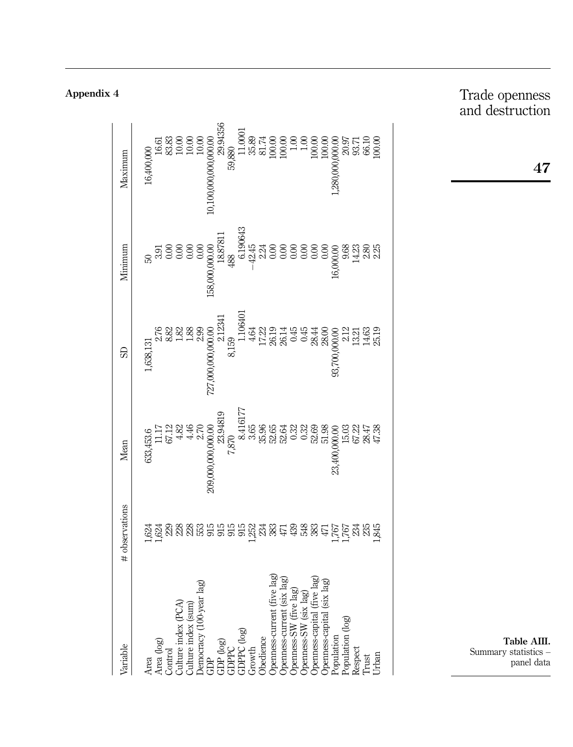| Appendix 4 |  |
|------------|--|
|------------|--|

29.94356 GDP (log) 915 23.94819 2.12341 18.87811 29.94356  $\begin{array}{r} 83.83 \\ 83.83 \\ 10.00 \\ 10.00 \\ 10.00 \\ 10.00 \\ 10.00 \\ 10.00 \\ 10.100,000 \\ 0.000 \\ 10.100 \\ 0.000 \\ 0.000 \\ 0.000 \\ 0.000 \\ 0.000 \\ 0.000 \\ 0.000 \\ 0.000 \\ 0.000 \\ 0.000 \\ 0.000 \\ 0.000 \\ 0.000 \\ 0.000 \\ 0.000 \\ 0.000 \\ 0.000 \\ 0.000 \\ 0.0$ 11.0001 GDPC (log) 915 915 915 8.416177 1.106401 1.106401 6.0001 6.0001 6.0001 1.10643 35.89  $100.00$  $100.00$ 81.74 100.00  $00.00$  $1.00$  $1.00$ 20.97  $\begin{array}{c} 93.71 \\ 66.10 \\ 00.00 \end{array}$  $16.61$ 1,280,000,000.00 Area (log)  $1,624$   $1,17$   $2,76$   $3.91$   $3.91$ Control 229 67.12 83.83 Culture index (PCA)  $^{4.82}_{4.82}$  1.82  $^{4.82}_{4.82}$  1.82 Culture index steps:  $\frac{228}{4.46}$  1.88 1.88 Democracy (100-year lag) 553 2.99  $\frac{2}{3}$  553  $\frac{2}{9}$  553  $\frac{2}{9}$   $\frac{2}{3}$   $\frac{2}{9}$   $\frac{2}{3}$   $\frac{2}{3}$   $\frac{2}{3}$   $\frac{2}{3}$   $\frac{2}{3}$   $\frac{2}{3}$   $\frac{2}{3}$   $\frac{2}{3}$   $\frac{2}{3}$   $\frac{2}{3}$   $\frac{2}{3}$   $\frac{2}{3}$   $\frac{2}{3}$ GDP 915 209,000,000,000.00 727,000,000,000.00 158,000,000.00 10,100,000,000,000.00 42.45 35.89 Obedience 234  $234$  35.96  $174$   $17.22$   $224$ Openness-current (five lag)  $52.65$   $52.65$   $52.65$   $52.65$   $52.65$ Openness-current (six lag)  $471$   $471$   $26.14$   $26.14$ Openness-SW (five lag)  $0.32$  0.32 0.45 0.45 0.00 1.00 Openness-SW (six lag)  $0.32$  0.32 0.32 0.32 0.32 0.00 1.00 Openness-capital (five lag)  $383$   $3844$   $2844$ Openness-capital (six lag)  $^{147}$  51.98 28.00  $^{147}$  51.98 28.00  $^{147}$ Population 1,767 23,400,000.00 93,700,000.00 16,000.00 1,280,000,000.00 Population (log)  $1.767$   $1.212$   $2.12$   $9.68$ Respect 234 234 57.22 67.22 13.21 14.23 14.23 Trust  $235$   $28.47$   $14.63$   $2.80$   $2.80$   $66.10$ Urban 1,845  $47.38$   $47.38$   $25.19$   $2.55$ 59.880  $16,400,000$ Maximum Area  $1,624$   $1,623,453,6$   $1,633,453.6$   $1,633,131$   $1,630$ CONSIGN 988 848 988 488 500 928.7 1615 988 500 928.7 1615 988 488 489 928.7 162.8 489 928 938 938 948 161 928 Variable # observations Mean SD Minimum Maximum 6.190643 18.87811  $\begin{array}{c} 50 \\ 3.91 \end{array}$  $0.00$ 00.0  $\begin{array}{c} 0.00 \\ 0.00 \end{array}$ 158,000,000.00 42.45  $0.00$  $0.00$ 14.23 Minimum  $0.00$ 9.68  $\frac{2.80}{2.25}$ 2.24  $\sum_{i=1}^{n}$  $60<sup>o</sup>$  $00<sub>i</sub>$ 16,000.00 88 Growth  $1,252$   $1,252$   $1,252$   $4.64$ 106401 2.12341  $1.88$ <br> $2.99$ 727,000,000,000.00  $.82$ 17.22 2.76 8.82 4.64 26.19  $0.45$ 28.44 28.00 2.12 14.63 25.19  $26.14$ 93,700,000.00  $13.21$ 8.159 1,638,131  $\overline{S}$ 8.416177 23.94819 67.12 4.82 4.46 209,000,000,000.00 35.96 52.69 51.98 47.38 270 3.65 52.65 0.32 15.03 11.17 52.64  $0.32$ 67.22<br>28.47 533,453.6 23,400,000.00 7,870 Mean # observations Openness-SW (five lag)<br>Openness-SW (six lag)<br>Openness-capital (five lag) Openness-current (five lag) penness-current (six lag) Denness-capital (six lag) Jemocracy (100-year lag) Culture index (PCA)<br>Culture index (sum) Population (log) GDP (log)<br>GDPPC<br>GDPPC (log) Population **Obedience** Area (log) Variable Growth Respect Control **Jrban** Trust Area GDP

Trade openness and destruction

47

Table AIII. Summary statistics – panel data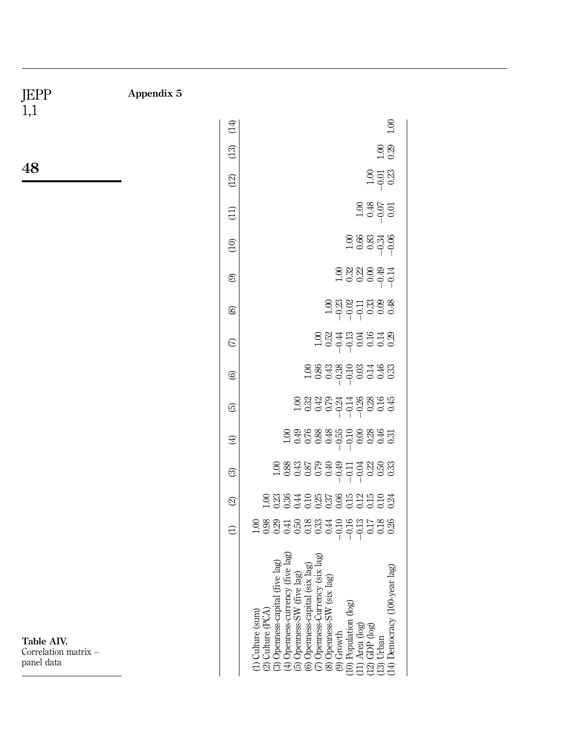Appendix 5

JEPP  $\dot{1}$ ,1

48

 $1.00$  $(14)$ (1) (1) (1) (1) (1) (6) (8) (2) (9) (5) (1) (1) (1) (1) 0.06 0.01 0.23 0.29 1.00  $(13)$  $\frac{100}{0.29}$ 0.01 1.00  $\begin{array}{cc} 1.00 & 1.00 \\ 0.48 & 1.00 \\ -0.07 & -0.01 \\ 0.01 & 0.23 \end{array}$ (12) GDP (log) 0.17 0.15 0.22 0.28 0.28 0.14 0.16 0.33 0.00 0.83 0.48 1.00  $(12)$ 0.11 0.22 0.66 1.00  $(11)$  $1.88$ <br> $-0.83$ <br> $-0.34$ <br> $-0.5$ 0.02 0.32 1.00  $(10)$ -<br>0.49<br>0.14 0.23 1.00  $\circledcirc$ (13) Urban 0.18 0.10 0.50 0.46 0.16 0.46 0.14 0.09 -(14) Democracy (100-year lag) 0.26 0.24 0.33 0.31 0.45 0.33 0.29 0.48 -(8) Openness-SW (six lag) 0.44 0.37 0.40 0.48 0.79 0.43 0.52 1.00  $\circledR$ 0.44 -0.13 - $-$  0.26 0.03 0.04 -(7) Openness-Currency (six lag) 0.33 0.25 0.79 0.88 0.42 0.86 1.00  $\widehat{\in}$ |<br>0.10<br>0.10 (6) Openness-capital (six lag) 0.18 0.10 0.87 0.76 0.32 1.00  $\circledcirc$ -<br>0.14<br>0.14 (5) Openness-SW (five lag) 0.50 0.44 0.43 0.49 1.00  $\widehat{\mathfrak{S}}$ |<br>0.10<br>0.10  $-$  0.00  $-$ (4) Openness-currency (five lag) 0.41 0.36 0.88 1.00  $\bigoplus$ -<br>0.49<br>0.11 (3) Openness-capital (five lag)  $0.29$  0.23 1.00 ි  $-$  0.06  $-$  0.15  $0.13$   $0.12$  - $\widehat{\mathfrak{D}}$ (2) Culture (PCA) 0.98 1.00  $3.8884568344949477888$ (1) Culture (sum) 1.00  $\ominus$  $-$  Growth  $(10)$  Population  $(\log)$  $(11)$  Area  $(log)$ (1) Culture (sum)<br>
(2) Culture (PCA)<br>
(3) Openness-capital (five lag)<br>
(4) Openness-currency (five lag)<br>
(5) Openness-sSW (five lag)<br>
(6) Openness-capital (six lag)<br>
(7) Openness-Currency (six lag)<br>
(8) Openness-SW (six l (13) Urban<br>(13) Democracy (100-year lag)  $(11)$  Area  $(\log)$ <br> $(12)$  GDP  $(\log)$ 

Table AIV.

Correlation matrix – panel data